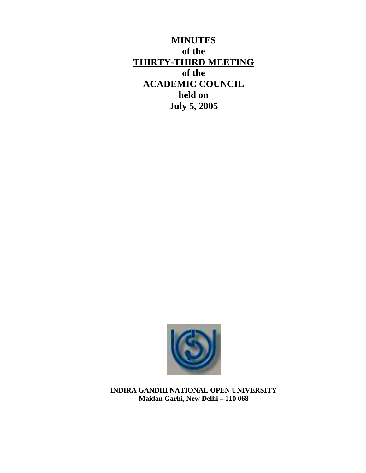**MINUTES of the THIRTY-THIRD MEETING of the ACADEMIC COUNCIL held on July 5, 2005**



**INDIRA GANDHI NATIONAL OPEN UNIVERSITY Maidan Garhi, New Delhi – 110 068**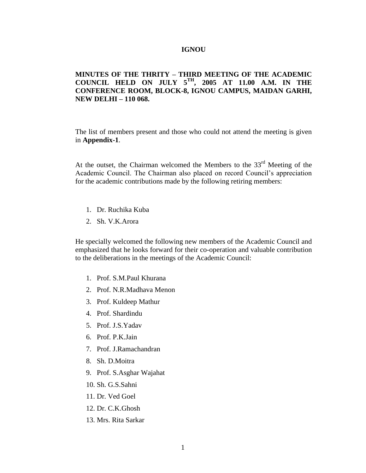#### **IGNOU**

# **MINUTES OF THE THRITY – THIRD MEETING OF THE ACADEMIC COUNCIL HELD ON JULY 5TH, 2005 AT 11.00 A.M. IN THE CONFERENCE ROOM, BLOCK-8, IGNOU CAMPUS, MAIDAN GARHI, NEW DELHI – 110 068.**

The list of members present and those who could not attend the meeting is given in **Appendix-1**.

At the outset, the Chairman welcomed the Members to the  $33<sup>rd</sup>$  Meeting of the Academic Council. The Chairman also placed on record Council's appreciation for the academic contributions made by the following retiring members:

- 1. Dr. Ruchika Kuba
- 2. Sh. V.K.Arora

He specially welcomed the following new members of the Academic Council and emphasized that he looks forward for their co-operation and valuable contribution to the deliberations in the meetings of the Academic Council:

- 1. Prof. S.M.Paul Khurana
- 2. Prof. N.R.Madhava Menon
- 3. Prof. Kuldeep Mathur
- 4. Prof. Shardindu
- 5. Prof. J.S.Yadav
- 6. Prof. P.K.Jain
- 7. Prof. J.Ramachandran
- 8. Sh. D.Moitra
- 9. Prof. S.Asghar Wajahat
- 10. Sh. G.S.Sahni
- 11. Dr. Ved Goel
- 12. Dr. C.K.Ghosh
- 13. Mrs. Rita Sarkar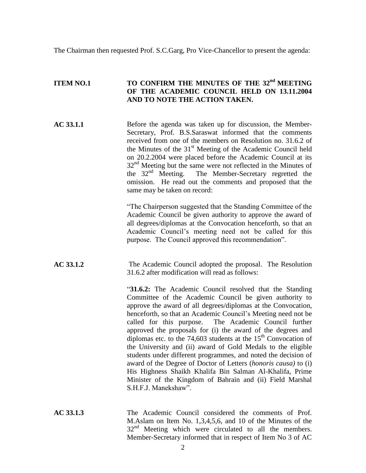The Chairman then requested Prof. S.C.Garg, Pro Vice-Chancellor to present the agenda:

# **ITEM NO.1 TO CONFIRM THE MINUTES OF THE 32nd MEETING OF THE ACADEMIC COUNCIL HELD ON 13.11.2004 AND TO NOTE THE ACTION TAKEN.**

**AC 33.1.1** Before the agenda was taken up for discussion, the Member-Secretary, Prof. B.S.Saraswat informed that the comments received from one of the members on Resolution no. 31.6.2 of the Minutes of the  $31<sup>st</sup>$  Meeting of the Academic Council held on 20.2.2004 were placed before the Academic Council at its  $32<sup>nd</sup>$  Meeting but the same were not reflected in the Minutes of the 32nd Meeting. The Member-Secretary regretted the omission. He read out the comments and proposed that the same may be taken on record:

> "The Chairperson suggested that the Standing Committee of the Academic Council be given authority to approve the award of all degrees/diplomas at the Convocation henceforth, so that an Academic Council's meeting need not be called for this purpose. The Council approved this recommendation".

**AC 33.1.2** The Academic Council adopted the proposal. The Resolution 31.6.2 after modification will read as follows:

> "**31.6.2:** The Academic Council resolved that the Standing Committee of the Academic Council be given authority to approve the award of all degrees/diplomas at the Convocation, henceforth, so that an Academic Council's Meeting need not be called for this purpose. The Academic Council further approved the proposals for (i) the award of the degrees and diplomas etc. to the 74,603 students at the  $15<sup>th</sup>$  Convocation of the University and (ii) award of Gold Medals to the eligible students under different programmes, and noted the decision of award of the Degree of Doctor of Letters (*honoris causa)* to (i) His Highness Shaikh Khalifa Bin Salman Al-Khalifa, Prime Minister of the Kingdom of Bahrain and (ii) Field Marshal S.H.F.J. Manekshaw".

**AC 33.1.3** The Academic Council considered the comments of Prof. M.Aslam on Item No. 1,3,4,5,6, and 10 of the Minutes of the  $32<sup>nd</sup>$  Meeting which were circulated to all the members. Member-Secretary informed that in respect of Item No 3 of AC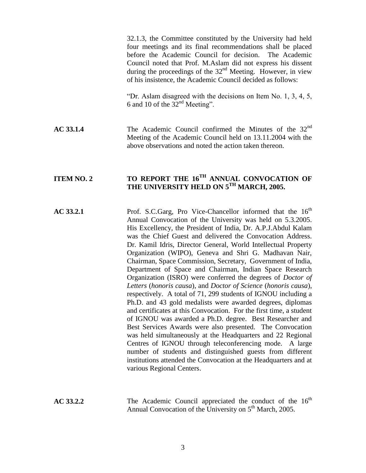32.1.3, the Committee constituted by the University had held four meetings and its final recommendations shall be placed before the Academic Council for decision. The Academic Council noted that Prof. M.Aslam did not express his dissent during the proceedings of the  $32<sup>nd</sup>$  Meeting. However, in view of his insistence, the Academic Council decided as follows:

"Dr. Aslam disagreed with the decisions on Item No. 1, 3, 4, 5, 6 and 10 of the  $32<sup>nd</sup>$  Meeting".

**AC 33.1.4** The Academic Council confirmed the Minutes of the 32nd Meeting of the Academic Council held on 13.11.2004 with the above observations and noted the action taken thereon.

# **ITEM NO. 2 TO REPORT THE 16TH ANNUAL CONVOCATION OF THE UNIVERSITY HELD ON 5TH MARCH, 2005.**

**AC 33.2.1** Prof. S.C.Garg, Pro Vice-Chancellor informed that the 16<sup>th</sup> Annual Convocation of the University was held on 5.3.2005. His Excellency, the President of India, Dr. A.P.J.Abdul Kalam was the Chief Guest and delivered the Convocation Address. Dr. Kamil Idris, Director General, World Intellectual Property Organization (WIPO), Geneva and Shri G. Madhavan Nair, Chairman, Space Commission, Secretary, Government of India, Department of Space and Chairman, Indian Space Research Organization (ISRO) were conferred the degrees of *Doctor of Letters* (*honoris causa*), and *Doctor of Science* (*honoris causa*), respectively. A total of 71, 299 students of IGNOU including a Ph.D. and 43 gold medalists were awarded degrees, diplomas and certificates at this Convocation. For the first time, a student of IGNOU was awarded a Ph.D. degree. Best Researcher and Best Services Awards were also presented. The Convocation was held simultaneously at the Headquarters and 22 Regional Centres of IGNOU through teleconferencing mode. A large number of students and distinguished guests from different institutions attended the Convocation at the Headquarters and at various Regional Centers.

**AC 33.2.2** The Academic Council appreciated the conduct of the 16<sup>th</sup> Annual Convocation of the University on  $5<sup>th</sup>$  March, 2005.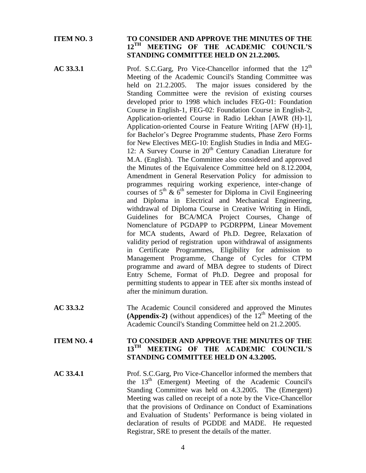# **ITEM NO. 3 TO CONSIDER AND APPROVE THE MINUTES OF THE 12TH MEETING OF THE ACADEMIC COUNCIL'S STANDING COMMITTEE HELD ON 21.2.2005.**

- **AC 33.3.1** Prof. S.C.Garg, Pro Vice-Chancellor informed that the 12<sup>th</sup> Meeting of the Academic Council's Standing Committee was held on 21.2.2005. The major issues considered by the Standing Committee were the revision of existing courses developed prior to 1998 which includes FEG-01: Foundation Course in English-1, FEG-02: Foundation Course in English-2, Application-oriented Course in Radio Lekhan [AWR (H)-1], Application-oriented Course in Feature Writing [AFW (H)-1], for Bachelor's Degree Programme students, Phase Zero Forms for New Electives MEG-10: English Studies in India and MEG-12: A Survey Course in  $20<sup>th</sup>$  Century Canadian Literature for M.A. (English). The Committee also considered and approved the Minutes of the Equivalence Committee held on 8.12.2004, Amendment in General Reservation Policy for admission to programmes requiring working experience, inter-change of courses of  $5<sup>th</sup>$  &  $6<sup>th</sup>$  semester for Diploma in Civil Engineering and Diploma in Electrical and Mechanical Engineering, withdrawal of Diploma Course in Creative Writing in Hindi, Guidelines for BCA/MCA Project Courses, Change of Nomenclature of PGDAPP to PGDRPPM, Linear Movement for MCA students, Award of Ph.D. Degree, Relaxation of validity period of registration upon withdrawal of assignments in Certificate Programmes, Eligibility for admission to Management Programme, Change of Cycles for CTPM programme and award of MBA degree to students of Direct Entry Scheme, Format of Ph.D. Degree and proposal for permitting students to appear in TEE after six months instead of after the minimum duration.
- **AC 33.3.2** The Academic Council considered and approved the Minutes **(Appendix-2)** (without appendices) of the  $12<sup>th</sup>$  Meeting of the Academic Council's Standing Committee held on 21.2.2005.

# **ITEM NO. 4 TO CONSIDER AND APPROVE THE MINUTES OF THE 13TH MEETING OF THE ACADEMIC COUNCIL'S STANDING COMMITTEE HELD ON 4.3.2005.**

**AC 33.4.1** Prof. S.C.Garg, Pro Vice-Chancellor informed the members that the  $13<sup>th</sup>$  (Emergent) Meeting of the Academic Council's Standing Committee was held on 4.3.2005. The (Emergent) Meeting was called on receipt of a note by the Vice-Chancellor that the provisions of Ordinance on Conduct of Examinations and Evaluation of Students' Performance is being violated in declaration of results of PGDDE and MADE. He requested Registrar, SRE to present the details of the matter.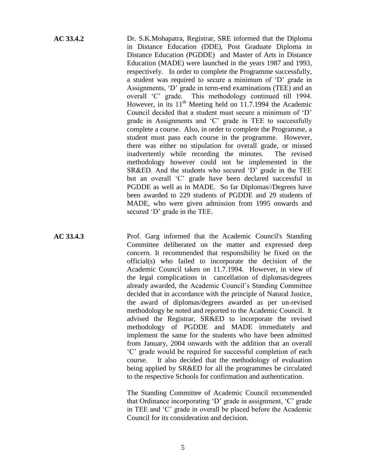**AC 33.4.2** Dr. S.K.Mohapatra, Registrar, SRE informed that the Diploma in Distance Education (DDE), Post Graduate Diploma in Distance Education (PGDDE) and Master of Arts in Distance Education (MADE) were launched in the years 1987 and 1993, respectively. In order to complete the Programme successfully, a student was required to secure a minimum of 'D' grade in Assignments, 'D' grade in term-end examinations (TEE) and an overall 'C' grade. This methodology continued till 1994. However, in its  $11<sup>th</sup>$  Meeting held on 11.7.1994 the Academic Council decided that a student must secure a minimum of 'D' grade in Assignments and 'C' grade in TEE to successfully complete a course. Also, in order to complete the Programme, a student must pass each course in the programme. However, there was either no stipulation for overall grade, or missed inadvertently while recording the minutes. The revised methodology however could not be implemented in the SR&ED. And the students who secured 'D' grade in the TEE but an overall 'C' grade have been declared successful in PGDDE as well as in MADE. So far Diplomas//Degrees have been awarded to 229 students of PGDDE and 29 students of MADE, who were given admission from 1995 onwards and secured 'D' grade in the TEE.

AC 33.4.3 Prof. Garg informed that the Academic Council's Standing Committee deliberated on the matter and expressed deep concern. It recommended that responsibility be fixed on the official(s) who failed to incorporate the decision of the Academic Council taken on 11.7.1994. However, in view of the legal complications in cancellation of diplomas/degrees already awarded, the Academic Council's Standing Committee decided that in accordance with the principle of Natural Justice, the award of diplomas/degrees awarded as per un-revised methodology be noted and reported to the Academic Council. It advised the Registrar, SR&ED to incorporate the revised methodology of PGDDE and MADE immediately and implement the same for the students who have been admitted from January, 2004 onwards with the addition that an overall 'C' grade would be required for successful completion of each course. It also decided that the methodology of evaluation being applied by SR&ED for all the programmes be circulated to the respective Schools for confirmation and authentication.

> The Standing Committee of Academic Council recommended that Ordinance incorporating 'D' grade in assignment, 'C' grade in TEE and 'C' grade in overall be placed before the Academic Council for its consideration and decision.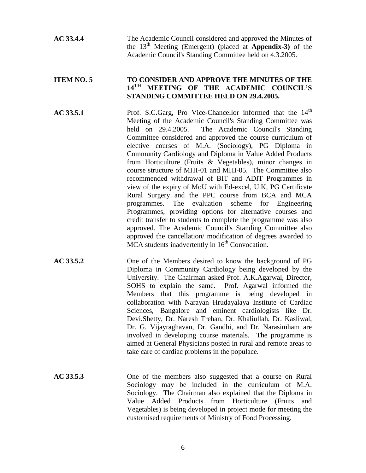# **ITEM NO. 5 TO CONSIDER AND APPROVE THE MINUTES OF THE 14TH MEETING OF THE ACADEMIC COUNCIL'S STANDING COMMITTEE HELD ON 29.4.2005.**

**AC 33.5.1** Prof. S.C.Garg, Pro Vice-Chancellor informed that the 14<sup>th</sup> Meeting of the Academic Council's Standing Committee was held on 29.4.2005. The Academic Council's Standing Committee considered and approved the course curriculum of elective courses of M.A. (Sociology), PG Diploma in Community Cardiology and Diploma in Value Added Products from Horticulture (Fruits & Vegetables), minor changes in course structure of MHI-01 and MHI-05. The Committee also recommended withdrawal of BIT and ADIT Programmes in view of the expiry of MoU with Ed-excel, U.K, PG Certificate Rural Surgery and the PPC course from BCA and MCA programmes. The evaluation scheme for Engineering Programmes, providing options for alternative courses and credit transfer to students to complete the programme was also approved. The Academic Council's Standing Committee also approved the cancellation/ modification of degrees awarded to  $\overline{MCA}$  students inadvertently in  $16<sup>th</sup>$  Convocation.

- **AC 33.5.2** One of the Members desired to know the background of PG Diploma in Community Cardiology being developed by the University. The Chairman asked Prof. A.K.Agarwal, Director, SOHS to explain the same. Prof. Agarwal informed the Members that this programme is being developed in collaboration with Narayan Hrudayalaya Institute of Cardiac Sciences, Bangalore and eminent cardiologists like Dr. Devi.Shetty, Dr. Naresh Trehan, Dr. Khaliullah, Dr. Kasliwal, Dr. G. Vijayraghavan, Dr. Gandhi, and Dr. Narasimham are involved in developing course materials. The programme is aimed at General Physicians posted in rural and remote areas to take care of cardiac problems in the populace.
- **AC 33.5.3** One of the members also suggested that a course on Rural Sociology may be included in the curriculum of M.A. Sociology. The Chairman also explained that the Diploma in Value Added Products from Horticulture (Fruits and Vegetables) is being developed in project mode for meeting the customised requirements of Ministry of Food Processing.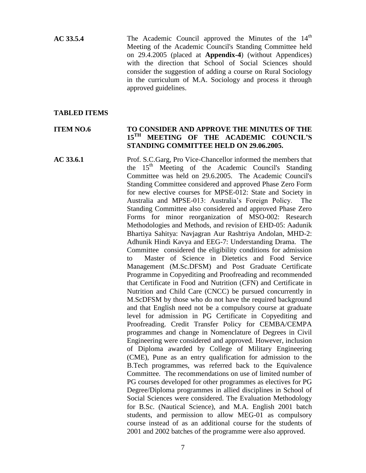**AC 33.5.4** The Academic Council approved the Minutes of the 14<sup>th</sup> Meeting of the Academic Council's Standing Committee held on 29.4.2005 (placed at **Appendix-4**) (without Appendices) with the direction that School of Social Sciences should consider the suggestion of adding a course on Rural Sociology in the curriculum of M.A. Sociology and process it through approved guidelines.

#### **TABLED ITEMS**

# **ITEM NO.6 TO CONSIDER AND APPROVE THE MINUTES OF THE 15TH MEETING OF THE ACADEMIC COUNCIL'S STANDING COMMITTEE HELD ON 29.06.2005.**

**AC 33.6.1** Prof. S.C.Garg, Pro Vice-Chancellor informed the members that the  $15<sup>th</sup>$  Meeting of the Academic Council's Standing Committee was held on 29.6.2005. The Academic Council's Standing Committee considered and approved Phase Zero Form for new elective courses for MPSE-012: State and Society in Australia and MPSE-013: Australia's Foreign Policy. The Standing Committee also considered and approved Phase Zero Forms for minor reorganization of MSO-002: Research Methodologies and Methods, and revision of EHD-05: Aadunik Bhartiya Sahitya: Navjagran Aur Rashtriya Andolan, MHD-2: Adhunik Hindi Kavya and EEG-7: Understanding Drama. The Committee considered the eligibility conditions for admission to Master of Science in Dietetics and Food Service Management (M.Sc.DFSM) and Post Graduate Certificate Programme in Copyediting and Proofreading and recommended that Certificate in Food and Nutrition (CFN) and Certificate in Nutrition and Child Care (CNCC) be pursued concurrently in M.ScDFSM by those who do not have the required background and that English need not be a compulsory course at graduate level for admission in PG Certificate in Copyediting and Proofreading. Credit Transfer Policy for CEMBA/CEMPA programmes and change in Nomenclature of Degrees in Civil Engineering were considered and approved. However, inclusion of Diploma awarded by College of Military Engineering (CME), Pune as an entry qualification for admission to the B.Tech programmes, was referred back to the Equivalence Committee. The recommendations on use of limited number of PG courses developed for other programmes as electives for PG Degree/Diploma programmes in allied disciplines in School of Social Sciences were considered. The Evaluation Methodology for B.Sc. (Nautical Science), and M.A. English 2001 batch students, and permission to allow MEG-01 as compulsory course instead of as an additional course for the students of 2001 and 2002 batches of the programme were also approved.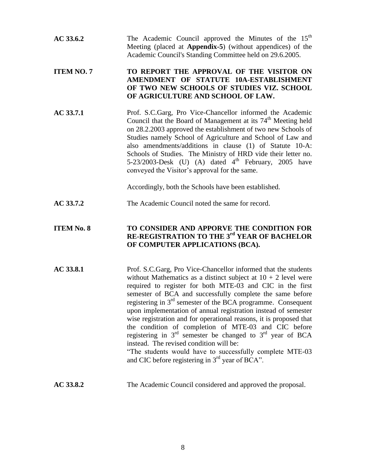| AC 33.6.2 | The Academic Council approved the Minutes of the 15 <sup>th</sup>  |
|-----------|--------------------------------------------------------------------|
|           | Meeting (placed at <b>Appendix-5</b> ) (without appendices) of the |
|           | Academic Council's Standing Committee held on 29.6.2005.           |

# **ITEM NO. 7 TO REPORT THE APPROVAL OF THE VISITOR ON AMENDMENT OF STATUTE 10A-ESTABLISHMENT OF TWO NEW SCHOOLS OF STUDIES VIZ. SCHOOL OF AGRICULTURE AND SCHOOL OF LAW.**

AC 33.7.1 Prof. S.C.Garg, Pro Vice-Chancellor informed the Academic Council that the Board of Management at its  $74<sup>th</sup>$  Meeting held on 28.2.2003 approved the establishment of two new Schools of Studies namely School of Agriculture and School of Law and also amendments/additions in clause (1) of Statute 10-A: Schools of Studies. The Ministry of HRD vide their letter no. 5-23/2003-Desk (U) (A) dated  $4<sup>th</sup>$  February, 2005 have conveyed the Visitor's approval for the same.

Accordingly, both the Schools have been established.

**AC 33.7.2** The Academic Council noted the same for record.

# **ITEM No. 8 TO CONSIDER AND APPORVE THE CONDITION FOR RE-REGISTRATION TO THE 3rd YEAR OF BACHELOR OF COMPUTER APPLICATIONS (BCA).**

AC 33.8.1 Prof. S.C.Garg, Pro Vice-Chancellor informed that the students without Mathematics as a distinct subject at  $10 + 2$  level were required to register for both MTE-03 and CIC in the first semester of BCA and successfully complete the same before registering in 3<sup>rd</sup> semester of the BCA programme. Consequent upon implementation of annual registration instead of semester wise registration and for operational reasons, it is proposed that the condition of completion of MTE-03 and CIC before registering in  $3<sup>rd</sup>$  semester be changed to  $3<sup>rd</sup>$  year of BCA instead. The revised condition will be: "The students would have to successfully complete MTE-03 and CIC before registering in  $3<sup>rd</sup>$  year of BCA".

**AC 33.8.2** The Academic Council considered and approved the proposal.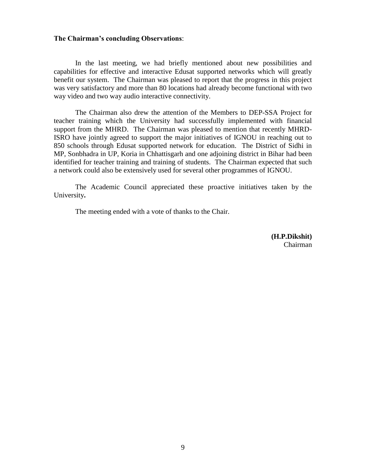#### **The Chairman's concluding Observations**:

In the last meeting, we had briefly mentioned about new possibilities and capabilities for effective and interactive Edusat supported networks which will greatly benefit our system. The Chairman was pleased to report that the progress in this project was very satisfactory and more than 80 locations had already become functional with two way video and two way audio interactive connectivity.

The Chairman also drew the attention of the Members to DEP-SSA Project for teacher training which the University had successfully implemented with financial support from the MHRD. The Chairman was pleased to mention that recently MHRD-ISRO have jointly agreed to support the major initiatives of IGNOU in reaching out to 850 schools through Edusat supported network for education. The District of Sidhi in MP, Sonbhadra in UP, Koria in Chhattisgarh and one adjoining district in Bihar had been identified for teacher training and training of students. The Chairman expected that such a network could also be extensively used for several other programmes of IGNOU.

The Academic Council appreciated these proactive initiatives taken by the University**.**

The meeting ended with a vote of thanks to the Chair.

**(H.P.Dikshit)** Chairman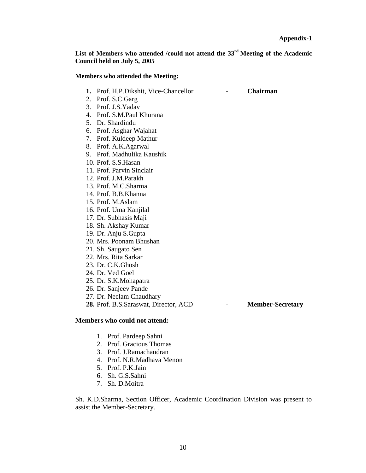**List of Members who attended /could not attend the 33rd Meeting of the Academic Council held on July 5, 2005**

#### **Members who attended the Meeting:**

- **1.** Prof. H.P.Dikshit, Vice-Chancellor **Chairman**
- 2. Prof. S.C.Garg
- 3. Prof. J.S.Yadav
- 4. Prof. S.M.Paul Khurana
- 5. Dr. Shardindu
- 6. Prof. Asghar Wajahat
- 7. Prof. Kuldeep Mathur
- 8. Prof. A.K.Agarwal
- 9. Prof. Madhulika Kaushik
- 10. Prof. S.S.Hasan
- 11. Prof. Parvin Sinclair
- 12. Prof. J.M.Parakh
- 13. Prof. M.C.Sharma
- 14. Prof. B.B.Khanna
- 15. Prof. M.Aslam
- 16. Prof. Uma Kanjilal
- 17. Dr. Subhasis Maji
- 18. Sh. Akshay Kumar
- 19. Dr. Anju S.Gupta
- 20. Mrs. Poonam Bhushan
- 21. Sh. Saugato Sen
- 22. Mrs. Rita Sarkar
- 23. Dr. C.K.Ghosh
- 24. Dr. Ved Goel
- 25. Dr. S.K.Mohapatra
- 26. Dr. Sanjeev Pande
- 27. Dr. Neelam Chaudhary

**28.** Prof. B.S.Saraswat, Director, ACD - **Member-Secretary**

#### **Members who could not attend:**

- 1. Prof. Pardeep Sahni
- 2. Prof. Gracious Thomas
- 3. Prof. J.Ramachandran
- 4. Prof. N.R.Madhava Menon
- 5. Prof. P.K.Jain
- 6. Sh. G.S.Sahni
- 7. Sh. D.Moitra

Sh. K.D.Sharma, Section Officer, Academic Coordination Division was present to assist the Member-Secretary.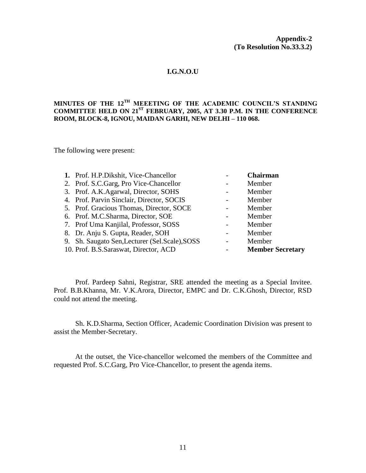#### **I.G.N.O.U**

#### **MINUTES OF THE 12TH MEEETING OF THE ACADEMIC COUNCIL'S STANDING COMMITTEE HELD ON 21ST FEBRUARY, 2005, AT 3.30 P.M. IN THE CONFERENCE ROOM, BLOCK-8, IGNOU, MAIDAN GARHI, NEW DELHI – 110 068.**

The following were present:

| 1. Prof. H.P.Dikshit, Vice-Chancellor |                                                                                                                                                                                                                                                                                                                                                                                          | <b>Chairman</b>         |
|---------------------------------------|------------------------------------------------------------------------------------------------------------------------------------------------------------------------------------------------------------------------------------------------------------------------------------------------------------------------------------------------------------------------------------------|-------------------------|
|                                       |                                                                                                                                                                                                                                                                                                                                                                                          | Member                  |
|                                       |                                                                                                                                                                                                                                                                                                                                                                                          | Member                  |
|                                       |                                                                                                                                                                                                                                                                                                                                                                                          | Member                  |
|                                       |                                                                                                                                                                                                                                                                                                                                                                                          | Member                  |
|                                       |                                                                                                                                                                                                                                                                                                                                                                                          | Member                  |
|                                       |                                                                                                                                                                                                                                                                                                                                                                                          | Member                  |
|                                       |                                                                                                                                                                                                                                                                                                                                                                                          | Member                  |
|                                       |                                                                                                                                                                                                                                                                                                                                                                                          | Member                  |
|                                       |                                                                                                                                                                                                                                                                                                                                                                                          | <b>Member Secretary</b> |
|                                       | 2. Prof. S.C.Garg, Pro Vice-Chancellor<br>3. Prof. A.K.Agarwal, Director, SOHS<br>4. Prof. Parvin Sinclair, Director, SOCIS<br>5. Prof. Gracious Thomas, Director, SOCE<br>6. Prof. M.C.Sharma, Director, SOE<br>7. Prof Uma Kanjilal, Professor, SOSS<br>8. Dr. Anju S. Gupta, Reader, SOH<br>9. Sh. Saugato Sen, Lecturer (Sel. Scale), SOSS<br>10. Prof. B.S. Saraswat, Director, ACD |                         |

Prof. Pardeep Sahni, Registrar, SRE attended the meeting as a Special Invitee. Prof. B.B.Khanna, Mr. V.K.Arora, Director, EMPC and Dr. C.K.Ghosh, Director, RSD could not attend the meeting.

Sh. K.D.Sharma, Section Officer, Academic Coordination Division was present to assist the Member-Secretary.

At the outset, the Vice-chancellor welcomed the members of the Committee and requested Prof. S.C.Garg, Pro Vice-Chancellor, to present the agenda items.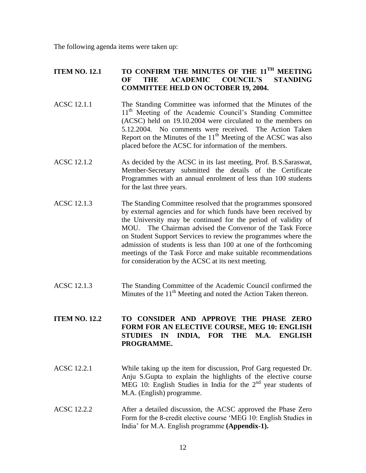The following agenda items were taken up:

# **ITEM NO. 12.1 TO CONFIRM THE MINUTES OF THE 11TH MEETING OF THE ACADEMIC COUNCIL'S STANDING COMMITTEE HELD ON OCTOBER 19, 2004.**

- ACSC 12.1.1 The Standing Committee was informed that the Minutes of the 11<sup>th</sup> Meeting of the Academic Council's Standing Committee (ACSC) held on 19.10.2004 were circulated to the members on 5.12.2004. No comments were received. The Action Taken Report on the Minutes of the  $11<sup>th</sup>$  Meeting of the ACSC was also placed before the ACSC for information of the members.
- ACSC 12.1.2 As decided by the ACSC in its last meeting, Prof. B.S. Saraswat, Member-Secretary submitted the details of the Certificate Programmes with an annual enrolment of less than 100 students for the last three years.
- ACSC 12.1.3 The Standing Committee resolved that the programmes sponsored by external agencies and for which funds have been received by the University may be continued for the period of validity of MOU. The Chairman advised the Convenor of the Task Force on Student Support Services to review the programmes where the admission of students is less than 100 at one of the forthcoming meetings of the Task Force and make suitable recommendations for consideration by the ACSC at its next meeting.
- ACSC 12.1.3 The Standing Committee of the Academic Council confirmed the Minutes of the 11<sup>th</sup> Meeting and noted the Action Taken thereon.

# **ITEM NO. 12.2 TO CONSIDER AND APPROVE THE PHASE ZERO FORM FOR AN ELECTIVE COURSE, MEG 10: ENGLISH STUDIES IN INDIA, FOR THE M.A. ENGLISH PROGRAMME.**

- ACSC 12.2.1 While taking up the item for discussion, Prof Garg requested Dr. Anju S.Gupta to explain the highlights of the elective course MEG 10: English Studies in India for the  $2<sup>nd</sup>$  year students of M.A. (English) programme.
- ACSC 12.2.2 After a detailed discussion, the ACSC approved the Phase Zero Form for the 8-credit elective course 'MEG 10: English Studies in India' for M.A. English programme **(Appendix-1).**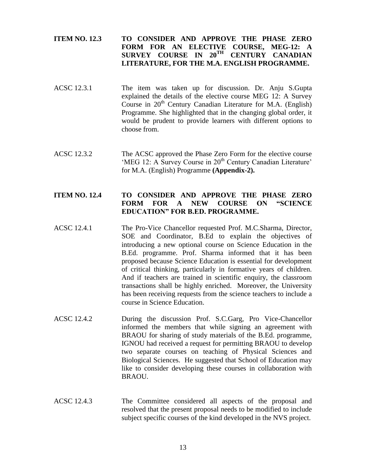# **ITEM NO. 12.3 TO CONSIDER AND APPROVE THE PHASE ZERO FORM FOR AN ELECTIVE COURSE, MEG-12: A SURVEY COURSE IN 20TH CENTURY CANADIAN LITERATURE, FOR THE M.A. ENGLISH PROGRAMME.**

- ACSC 12.3.1 The item was taken up for discussion. Dr. Anju S.Gupta explained the details of the elective course MEG 12: A Survey Course in  $20<sup>th</sup>$  Century Canadian Literature for M.A. (English) Programme. She highlighted that in the changing global order, it would be prudent to provide learners with different options to choose from.
- ACSC 12.3.2 The ACSC approved the Phase Zero Form for the elective course 'MEG 12: A Survey Course in 20<sup>th</sup> Century Canadian Literature' for M.A. (English) Programme **(Appendix-2).**

# **ITEM NO. 12.4 TO CONSIDER AND APPROVE THE PHASE ZERO FORM FOR A NEW COURSE ON "SCIENCE EDUCATION" FOR B.ED. PROGRAMME.**

- ACSC 12.4.1 The Pro-Vice Chancellor requested Prof. M.C.Sharma, Director, SOE and Coordinator, B.Ed to explain the objectives of introducing a new optional course on Science Education in the B.Ed. programme. Prof. Sharma informed that it has been proposed because Science Education is essential for development of critical thinking, particularly in formative years of children. And if teachers are trained in scientific enquiry, the classroom transactions shall be highly enriched. Moreover, the University has been receiving requests from the science teachers to include a course in Science Education.
- ACSC 12.4.2 During the discussion Prof. S.C.Garg, Pro Vice-Chancellor informed the members that while signing an agreement with BRAOU for sharing of study materials of the B.Ed. programme, IGNOU had received a request for permitting BRAOU to develop two separate courses on teaching of Physical Sciences and Biological Sciences. He suggested that School of Education may like to consider developing these courses in collaboration with BRAOU.
- ACSC 12.4.3 The Committee considered all aspects of the proposal and resolved that the present proposal needs to be modified to include subject specific courses of the kind developed in the NVS project.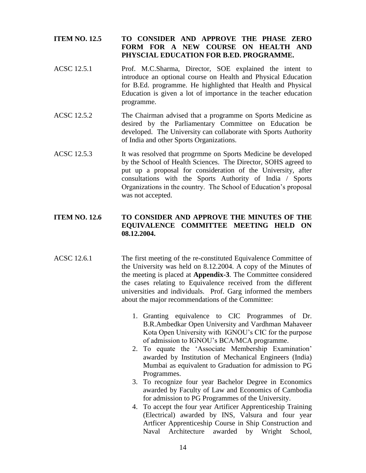# **ITEM NO. 12.5 TO CONSIDER AND APPROVE THE PHASE ZERO FORM FOR A NEW COURSE ON HEALTH AND PHYSCIAL EDUCATION FOR B.ED. PROGRAMME.**

- ACSC 12.5.1 Prof. M.C.Sharma, Director, SOE explained the intent to introduce an optional course on Health and Physical Education for B.Ed. programme. He highlighted that Health and Physical Education is given a lot of importance in the teacher education programme.
- ACSC 12.5.2 The Chairman advised that a programme on Sports Medicine as desired by the Parliamentary Committee on Education be developed. The University can collaborate with Sports Authority of India and other Sports Organizations.
- ACSC 12.5.3 It was resolved that progrmme on Sports Medicine be developed by the School of Health Sciences. The Director, SOHS agreed to put up a proposal for consideration of the University, after consultations with the Sports Authority of India / Sports Organizations in the country. The School of Education's proposal was not accepted.

# **ITEM NO. 12.6 TO CONSIDER AND APPROVE THE MINUTES OF THE EQUIVALENCE COMMITTEE MEETING HELD ON 08.12.2004.**

- ACSC 12.6.1 The first meeting of the re-constituted Equivalence Committee of the University was held on 8.12.2004. A copy of the Minutes of the meeting is placed at **Appendix-3**. The Committee considered the cases relating to Equivalence received from the different universities and individuals. Prof. Garg informed the members about the major recommendations of the Committee:
	- 1. Granting equivalence to CIC Programmes of Dr. B.R.Ambedkar Open University and Vardhman Mahaveer Kota Open University with IGNOU's CIC for the purpose of admission to IGNOU's BCA/MCA programme.
	- 2. To equate the 'Associate Membership Examination' awarded by Institution of Mechanical Engineers (India) Mumbai as equivalent to Graduation for admission to PG Programmes.
	- 3. To recognize four year Bachelor Degree in Economics awarded by Faculty of Law and Economics of Cambodia for admission to PG Programmes of the University.
	- 4. To accept the four year Artificer Apprenticeship Training (Electrical) awarded by INS, Valsura and four year Artficer Apprenticeship Course in Ship Construction and Naval Architecture awarded by Wright School,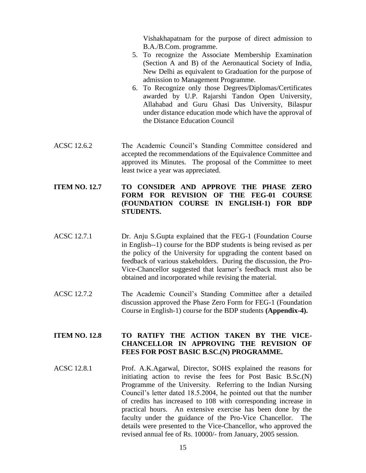Vishakhapatnam for the purpose of direct admission to B.A./B.Com. programme.

- 5. To recognize the Associate Membership Examination (Section A and B) of the Aeronautical Society of India, New Delhi as equivalent to Graduation for the purpose of admission to Management Programme.
- 6. To Recognize only those Degrees/Diplomas/Certificates awarded by U.P. Rajarshi Tandon Open University, Allahabad and Guru Ghasi Das University, Bilaspur under distance education mode which have the approval of the Distance Education Council
- ACSC 12.6.2 The Academic Council's Standing Committee considered and accepted the recommendations of the Equivalence Committee and approved its Minutes. The proposal of the Committee to meet least twice a year was appreciated.

# **ITEM NO. 12.7 TO CONSIDER AND APPROVE THE PHASE ZERO FORM FOR REVISION OF THE FEG-01 COURSE (FOUNDATION COURSE IN ENGLISH-1) FOR BDP STUDENTS.**

- ACSC 12.7.1 Dr. Anju S.Gupta explained that the FEG-1 (Foundation Course in English--1) course for the BDP students is being revised as per the policy of the University for upgrading the content based on feedback of various stakeholders. During the discussion, the Pro-Vice-Chancellor suggested that learner's feedback must also be obtained and incorporated while revising the material.
- ACSC 12.7.2 The Academic Council's Standing Committee after a detailed discussion approved the Phase Zero Form for FEG-1 (Foundation Course in English-1) course for the BDP students **(Appendix-4).**

# **ITEM NO. 12.8 TO RATIFY THE ACTION TAKEN BY THE VICE-CHANCELLOR IN APPROVING THE REVISION OF FEES FOR POST BASIC B.SC.(N) PROGRAMME.**

ACSC 12.8.1 Prof. A.K.Agarwal, Director, SOHS explained the reasons for initiating action to revise the fees for Post Basic B.Sc.(N) Programme of the University. Referring to the Indian Nursing Council's letter dated 18.5.2004, he pointed out that the number of credits has increased to 108 with corresponding increase in practical hours. An extensive exercise has been done by the faculty under the guidance of the Pro-Vice Chancellor. The details were presented to the Vice-Chancellor, who approved the revised annual fee of Rs. 10000/- from January, 2005 session.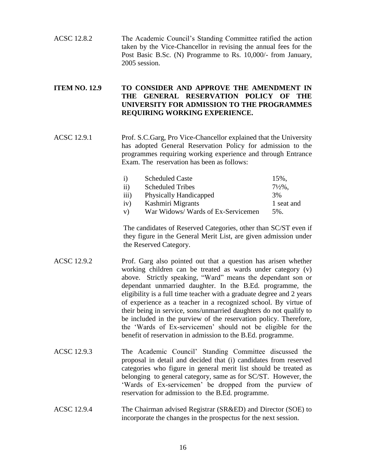ACSC 12.8.2 The Academic Council's Standing Committee ratified the action taken by the Vice-Chancellor in revising the annual fees for the Post Basic B.Sc. (N) Programme to Rs. 10,000/- from January, 2005 session.

# **ITEM NO. 12.9 TO CONSIDER AND APPROVE THE AMENDMENT IN THE GENERAL RESERVATION POLICY OF THE UNIVERSITY FOR ADMISSION TO THE PROGRAMMES REQUIRING WORKING EXPERIENCE.**

ACSC 12.9.1 Prof. S.C.Garg, Pro Vice-Chancellor explained that the University has adopted General Reservation Policy for admission to the programmes requiring working experience and through Entrance Exam. The reservation has been as follows:

| $\mathbf{i}$     | <b>Scheduled Caste</b>            | 15%,               |
|------------------|-----------------------------------|--------------------|
| $\mathbf{ii}$    | <b>Scheduled Tribes</b>           | $7\frac{1}{2}\%$ . |
| $\overline{111}$ | <b>Physically Handicapped</b>     | 3%                 |
| iv)              | Kashmiri Migrants                 | 1 seat and         |
| V)               | War Widows/Wards of Ex-Servicemen | $5\%$ .            |

The candidates of Reserved Categories, other than SC/ST even if they figure in the General Merit List, are given admission under the Reserved Category.

- ACSC 12.9.2 Prof. Garg also pointed out that a question has arisen whether working children can be treated as wards under category (v) above. Strictly speaking, "Ward" means the dependant son or dependant unmarried daughter. In the B.Ed. programme, the eligibility is a full time teacher with a graduate degree and 2 years of experience as a teacher in a recognized school. By virtue of their being in service, sons/unmarried daughters do not qualify to be included in the purview of the reservation policy. Therefore, the 'Wards of Ex-servicemen' should not be eligible for the benefit of reservation in admission to the B.Ed. programme.
- ACSC 12.9.3 The Academic Council' Standing Committee discussed the proposal in detail and decided that (i) candidates from reserved categories who figure in general merit list should be treated as belonging to general category, same as for SC/ST. However, the 'Wards of Ex-servicemen' be dropped from the purview of reservation for admission to the B.Ed. programme.

## ACSC 12.9.4 The Chairman advised Registrar (SR&ED) and Director (SOE) to incorporate the changes in the prospectus for the next session.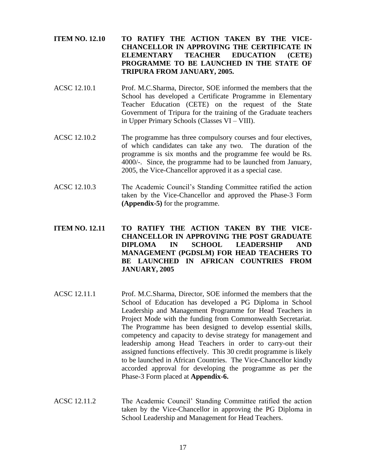# **ITEM NO. 12.10 TO RATIFY THE ACTION TAKEN BY THE VICE-CHANCELLOR IN APPROVING THE CERTIFICATE IN ELEMENTARY TEACHER EDUCATION (CETE) PROGRAMME TO BE LAUNCHED IN THE STATE OF TRIPURA FROM JANUARY, 2005.**

- ACSC 12.10.1 Prof. M.C.Sharma, Director, SOE informed the members that the School has developed a Certificate Programme in Elementary Teacher Education (CETE) on the request of the State Government of Tripura for the training of the Graduate teachers in Upper Primary Schools (Classes VI – VIII).
- ACSC 12.10.2 The programme has three compulsory courses and four electives, of which candidates can take any two. The duration of the programme is six months and the programme fee would be Rs. 4000/-. Since, the programme had to be launched from January, 2005, the Vice-Chancellor approved it as a special case.
- ACSC 12.10.3 The Academic Council's Standing Committee ratified the action taken by the Vice-Chancellor and approved the Phase-3 Form **(Appendix-5)** for the programme.

# **ITEM NO. 12.11 TO RATIFY THE ACTION TAKEN BY THE VICE-CHANCELLOR IN APPROVING THE POST GRADUATE DIPLOMA IN SCHOOL LEADERSHIP AND MANAGEMENT (PGDSLM) FOR HEAD TEACHERS TO BE LAUNCHED IN AFRICAN COUNTRIES FROM JANUARY, 2005**

- ACSC 12.11.1 Prof. M.C.Sharma, Director, SOE informed the members that the School of Education has developed a PG Diploma in School Leadership and Management Programme for Head Teachers in Project Mode with the funding from Commonwealth Secretariat. The Programme has been designed to develop essential skills, competency and capacity to devise strategy for management and leadership among Head Teachers in order to carry-out their assigned functions effectively. This 30 credit programme is likely to be launched in African Countries. The Vice-Chancellor kindly accorded approval for developing the programme as per the Phase-3 Form placed at **Appendix-6.**
- ACSC 12.11.2 The Academic Council' Standing Committee ratified the action taken by the Vice-Chancellor in approving the PG Diploma in School Leadership and Management for Head Teachers.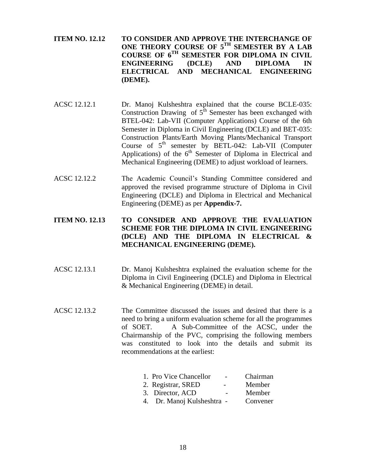- **ITEM NO. 12.12 TO CONSIDER AND APPROVE THE INTERCHANGE OF ONE THEORY COURSE OF 5TH SEMESTER BY A LAB COURSE OF 6TH SEMESTER FOR DIPLOMA IN CIVIL ENGINEERING (DCLE) AND DIPLOMA IN ELECTRICAL AND MECHANICAL ENGINEERING (DEME).**
- ACSC 12.12.1 Dr. Manoj Kulsheshtra explained that the course BCLE-035: Construction Drawing of  $5<sup>th</sup>$  Semester has been exchanged with BTEL-042: Lab-VII (Computer Applications) Course of the 6th Semester in Diploma in Civil Engineering (DCLE) and BET-035: Construction Plants/Earth Moving Plants/Mechanical Transport Course of  $5<sup>th</sup>$  semester by BETL-042: Lab-VII (Computer Applications) of the  $6<sup>th</sup>$  Semester of Diploma in Electrical and Mechanical Engineering (DEME) to adjust workload of learners.
- ACSC 12.12.2 The Academic Council's Standing Committee considered and approved the revised programme structure of Diploma in Civil Engineering (DCLE) and Diploma in Electrical and Mechanical Engineering (DEME) as per **Appendix-7.**

# **ITEM NO. 12.13 TO CONSIDER AND APPROVE THE EVALUATION SCHEME FOR THE DIPLOMA IN CIVIL ENGINEERING (DCLE) AND THE DIPLOMA IN ELECTRICAL & MECHANICAL ENGINEERING (DEME).**

- ACSC 12.13.1 Dr. Manoj Kulsheshtra explained the evaluation scheme for the Diploma in Civil Engineering (DCLE) and Diploma in Electrical & Mechanical Engineering (DEME) in detail.
- ACSC 12.13.2 The Committee discussed the issues and desired that there is a need to bring a uniform evaluation scheme for all the programmes of SOET. A Sub-Committee of the ACSC, under the Chairmanship of the PVC, comprising the following members was constituted to look into the details and submit its recommendations at the earliest:

| 1. Pro Vice Chancellor     | Chairman |
|----------------------------|----------|
| 2. Registrar, SRED         | Member   |
| 3. Director, ACD           | Member   |
| 4. Dr. Manoj Kulsheshtra - | Convener |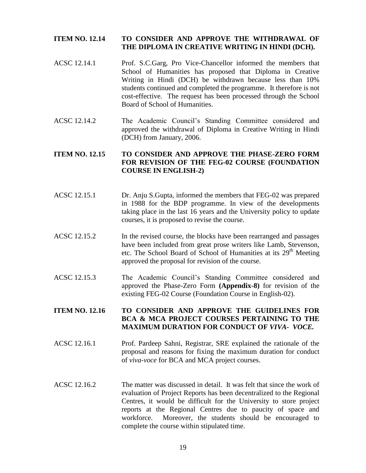#### **ITEM NO. 12.14 TO CONSIDER AND APPROVE THE WITHDRAWAL OF THE DIPLOMA IN CREATIVE WRITING IN HINDI (DCH).**

- ACSC 12.14.1 Prof. S.C.Garg, Pro Vice-Chancellor informed the members that School of Humanities has proposed that Diploma in Creative Writing in Hindi (DCH) be withdrawn because less than 10% students continued and completed the programme. It therefore is not cost-effective. The request has been processed through the School Board of School of Humanities.
- ACSC 12.14.2 The Academic Council's Standing Committee considered and approved the withdrawal of Diploma in Creative Writing in Hindi (DCH) from January, 2006.

# **ITEM NO. 12.15 TO CONSIDER AND APPROVE THE PHASE-ZERO FORM FOR REVISION OF THE FEG-02 COURSE (FOUNDATION COURSE IN ENGLISH-2)**

- ACSC 12.15.1 Dr. Anju S.Gupta, informed the members that FEG-02 was prepared in 1988 for the BDP programme. In view of the developments taking place in the last 16 years and the University policy to update courses, it is proposed to revise the course.
- ACSC 12.15.2 In the revised course, the blocks have been rearranged and passages have been included from great prose writers like Lamb, Stevenson, etc. The School Board of School of Humanities at its 29<sup>th</sup> Meeting approved the proposal for revision of the course.
- ACSC 12.15.3 The Academic Council's Standing Committee considered and approved the Phase-Zero Form **(Appendix-8)** for revision of the existing FEG-02 Course (Foundation Course in English-02).

# **ITEM NO. 12.16 TO CONSIDER AND APPROVE THE GUIDELINES FOR BCA & MCA PROJECT COURSES PERTAINING TO THE MAXIMUM DURATION FOR CONDUCT OF** *VIVA- VOCE.*

- ACSC 12.16.1 Prof. Pardeep Sahni, Registrar, SRE explained the rationale of the proposal and reasons for fixing the maximum duration for conduct of *viva-voce* for BCA and MCA project courses.
- ACSC 12.16.2 The matter was discussed in detail. It was felt that since the work of evaluation of Project Reports has been decentralized to the Regional Centres, it would be difficult for the University to store project reports at the Regional Centres due to paucity of space and workforce. Moreover, the students should be encouraged to complete the course within stipulated time.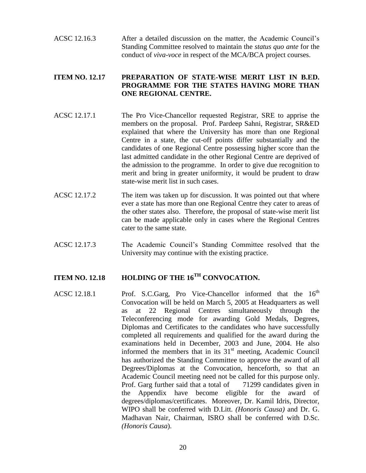ACSC 12.16.3 After a detailed discussion on the matter, the Academic Council's Standing Committee resolved to maintain the *status quo ante* for the conduct of *viva-voce* in respect of the MCA/BCA project courses.

# **ITEM NO. 12.17 PREPARATION OF STATE-WISE MERIT LIST IN B.ED. PROGRAMME FOR THE STATES HAVING MORE THAN ONE REGIONAL CENTRE.**

- ACSC 12.17.1 The Pro Vice-Chancellor requested Registrar, SRE to apprise the members on the proposal. Prof. Pardeep Sahni, Registrar, SR&ED explained that where the University has more than one Regional Centre in a state, the cut-off points differ substantially and the candidates of one Regional Centre possessing higher score than the last admitted candidate in the other Regional Centre are deprived of the admission to the programme. In order to give due recognition to merit and bring in greater uniformity, it would be prudent to draw state-wise merit list in such cases.
- ACSC 12.17.2 The item was taken up for discussion. It was pointed out that where ever a state has more than one Regional Centre they cater to areas of the other states also. Therefore, the proposal of state-wise merit list can be made applicable only in cases where the Regional Centres cater to the same state.
- ACSC 12.17.3 The Academic Council's Standing Committee resolved that the University may continue with the existing practice.

# **ITEM NO. 12.18 HOLDING OF THE 16TH CONVOCATION.**

ACSC 12.18.1 Prof. S.C.Garg, Pro Vice-Chancellor informed that the  $16<sup>th</sup>$ Convocation will be held on March 5, 2005 at Headquarters as well as at 22 Regional Centres simultaneously through the Teleconferencing mode for awarding Gold Medals, Degrees, Diplomas and Certificates to the candidates who have successfully completed all requirements and qualified for the award during the examinations held in December, 2003 and June, 2004. He also informed the members that in its  $31<sup>st</sup>$  meeting, Academic Council has authorized the Standing Committee to approve the award of all Degrees/Diplomas at the Convocation, henceforth, so that an Academic Council meeting need not be called for this purpose only. Prof. Garg further said that a total of 71299 candidates given in the Appendix have become eligible for the award of degrees/diplomas/certificates. Moreover, Dr. Kamil Idris, Director, WIPO shall be conferred with D.Litt. *(Honoris Causa)* and Dr. G. Madhavan Nair, Chairman, ISRO shall be conferred with D.Sc. *(Honoris Causa*).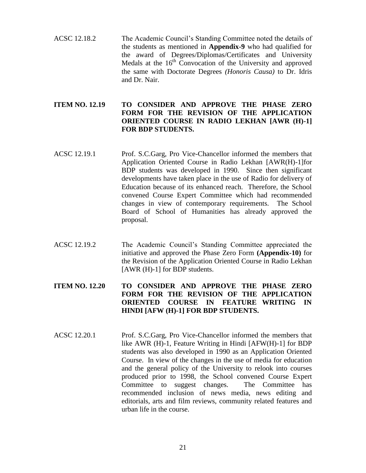ACSC 12.18.2 The Academic Council's Standing Committee noted the details of the students as mentioned in **Appendix-9** who had qualified for the award of Degrees/Diplomas/Certificates and University Medals at the  $16<sup>th</sup>$  Convocation of the University and approved the same with Doctorate Degrees *(Honoris Causa)* to Dr. Idris and Dr. Nair.

# **ITEM NO. 12.19 TO CONSIDER AND APPROVE THE PHASE ZERO FORM FOR THE REVISION OF THE APPLICATION ORIENTED COURSE IN RADIO LEKHAN [AWR (H)-1] FOR BDP STUDENTS.**

- ACSC 12.19.1 Prof. S.C.Garg, Pro Vice-Chancellor informed the members that Application Oriented Course in Radio Lekhan [AWR(H)-1]for BDP students was developed in 1990. Since then significant developments have taken place in the use of Radio for delivery of Education because of its enhanced reach. Therefore, the School convened Course Expert Committee which had recommended changes in view of contemporary requirements. The School Board of School of Humanities has already approved the proposal.
- ACSC 12.19.2 The Academic Council's Standing Committee appreciated the initiative and approved the Phase Zero Form **(Appendix-10)** for the Revision of the Application Oriented Course in Radio Lekhan [AWR (H)-1] for BDP students.

# **ITEM NO. 12.20 TO CONSIDER AND APPROVE THE PHASE ZERO FORM FOR THE REVISION OF THE APPLICATION ORIENTED COURSE IN FEATURE WRITING IN HINDI [AFW (H)-1] FOR BDP STUDENTS.**

ACSC 12.20.1 Prof. S.C.Garg, Pro Vice-Chancellor informed the members that like AWR (H)-1, Feature Writing in Hindi [AFW(H)-1] for BDP students was also developed in 1990 as an Application Oriented Course. In view of the changes in the use of media for education and the general policy of the University to relook into courses produced prior to 1998, the School convened Course Expert Committee to suggest changes. The Committee has recommended inclusion of news media, news editing and editorials, arts and film reviews, community related features and urban life in the course.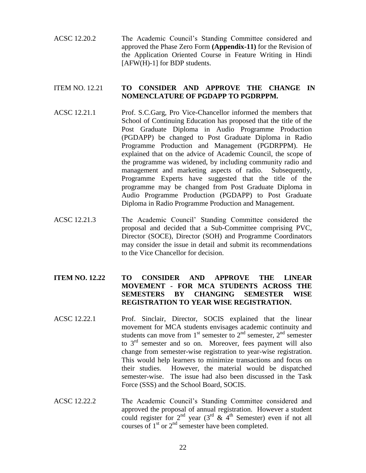ACSC 12.20.2 The Academic Council's Standing Committee considered and approved the Phase Zero Form **(Appendix-11)** for the Revision of the Application Oriented Course in Feature Writing in Hindi [AFW(H)-1] for BDP students.

## ITEM NO. 12.21 **TO CONSIDER AND APPROVE THE CHANGE IN NOMENCLATURE OF PGDAPP TO PGDRPPM.**

- ACSC 12.21.1 Prof. S.C.Garg, Pro Vice-Chancellor informed the members that School of Continuing Education has proposed that the title of the Post Graduate Diploma in Audio Programme Production (PGDAPP) be changed to Post Graduate Diploma in Radio Programme Production and Management (PGDRPPM). He explained that on the advice of Academic Council, the scope of the programme was widened, by including community radio and management and marketing aspects of radio. Subsequently, Programme Experts have suggested that the title of the programme may be changed from Post Graduate Diploma in Audio Programme Production (PGDAPP) to Post Graduate Diploma in Radio Programme Production and Management.
- ACSC 12.21.3 The Academic Council' Standing Committee considered the proposal and decided that a Sub-Committee comprising PVC, Director (SOCE), Director (SOH) and Programme Coordinators may consider the issue in detail and submit its recommendations to the Vice Chancellor for decision.

# **ITEM NO. 12.22 TO CONSIDER AND APPROVE THE LINEAR MOVEMENT - FOR MCA STUDENTS ACROSS THE SEMESTERS BY CHANGING SEMESTER WISE REGISTRATION TO YEAR WISE REGISTRATION.**

- ACSC 12.22.1 Prof. Sinclair, Director, SOCIS explained that the linear movement for MCA students envisages academic continuity and students can move from  $1<sup>st</sup>$  semester to  $2<sup>nd</sup>$  semester,  $2<sup>nd</sup>$  semester to  $3<sup>rd</sup>$  semester and so on. Moreover, fees payment will also change from semester-wise registration to year-wise registration. This would help learners to minimize transactions and focus on their studies. However, the material would be dispatched semester-wise. The issue had also been discussed in the Task Force (SSS) and the School Board, SOCIS.
- ACSC 12.22.2 The Academic Council's Standing Committee considered and approved the proposal of annual registration. However a student could register for  $2^{nd}$  year (3<sup>rd</sup> &  $4^{th}$  Semester) even if not all courses of  $1<sup>st</sup>$  or  $2<sup>nd</sup>$  semester have been completed.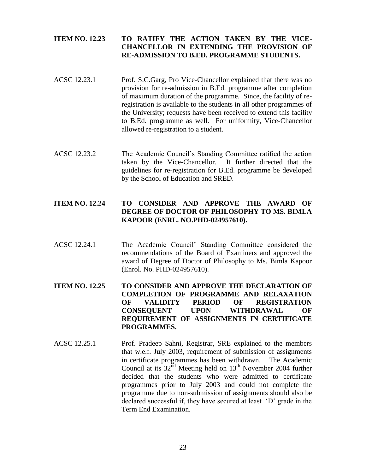# **ITEM NO. 12.23 TO RATIFY THE ACTION TAKEN BY THE VICE-CHANCELLOR IN EXTENDING THE PROVISION OF RE-ADMISSION TO B.ED. PROGRAMME STUDENTS.**

- ACSC 12.23.1 Prof. S.C.Garg, Pro Vice-Chancellor explained that there was no provision for re-admission in B.Ed. programme after completion of maximum duration of the programme. Since, the facility of reregistration is available to the students in all other programmes of the University; requests have been received to extend this facility to B.Ed. programme as well. For uniformity, Vice-Chancellor allowed re-registration to a student.
- ACSC 12.23.2 The Academic Council's Standing Committee ratified the action taken by the Vice-Chancellor. It further directed that the guidelines for re-registration for B.Ed. programme be developed by the School of Education and SRED.

# **ITEM NO. 12.24 TO CONSIDER AND APPROVE THE AWARD OF DEGREE OF DOCTOR OF PHILOSOPHY TO MS. BIMLA KAPOOR (ENRL. NO.PHD-024957610).**

ACSC 12.24.1 The Academic Council' Standing Committee considered the recommendations of the Board of Examiners and approved the award of Degree of Doctor of Philosophy to Ms. Bimla Kapoor (Enrol. No. PHD-024957610).

# **ITEM NO. 12.25 TO CONSIDER AND APPROVE THE DECLARATION OF COMPLETION OF PROGRAMME AND RELAXATION OF VALIDITY PERIOD OF REGISTRATION CONSEQUENT UPON WITHDRAWAL OF REQUIREMENT OF ASSIGNMENTS IN CERTIFICATE PROGRAMMES.**

ACSC 12.25.1 Prof. Pradeep Sahni, Registrar, SRE explained to the members that w.e.f. July 2003, requirement of submission of assignments in certificate programmes has been withdrawn. The Academic Council at its  $32<sup>nd</sup>$  Meeting held on  $13<sup>th</sup>$  November 2004 further decided that the students who were admitted to certificate programmes prior to July 2003 and could not complete the programme due to non-submission of assignments should also be declared successful if, they have secured at least 'D' grade in the Term End Examination.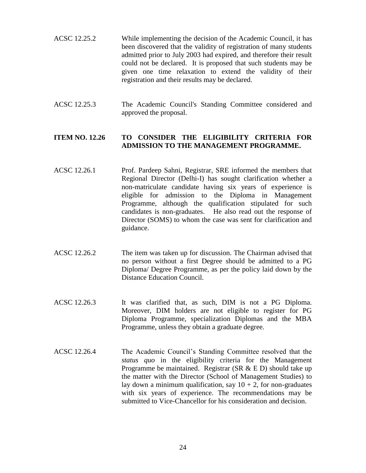- ACSC 12.25.2 While implementing the decision of the Academic Council, it has been discovered that the validity of registration of many students admitted prior to July 2003 had expired, and therefore their result could not be declared. It is proposed that such students may be given one time relaxation to extend the validity of their registration and their results may be declared.
- ACSC 12.25.3 The Academic Council's Standing Committee considered and approved the proposal.

# **ITEM NO. 12.26 TO CONSIDER THE ELIGIBILITY CRITERIA FOR ADMISSION TO THE MANAGEMENT PROGRAMME.**

- ACSC 12.26.1 Prof. Pardeep Sahni, Registrar, SRE informed the members that Regional Director (Delhi-I) has sought clarification whether a non-matriculate candidate having six years of experience is eligible for admission to the Diploma in Management Programme, although the qualification stipulated for such candidates is non-graduates. He also read out the response of Director (SOMS) to whom the case was sent for clarification and guidance.
- ACSC 12.26.2 The item was taken up for discussion. The Chairman advised that no person without a first Degree should be admitted to a PG Diploma/ Degree Programme, as per the policy laid down by the Distance Education Council.
- ACSC 12.26.3 It was clarified that, as such, DIM is not a PG Diploma. Moreover, DIM holders are not eligible to register for PG Diploma Programme, specialization Diplomas and the MBA Programme, unless they obtain a graduate degree.
- ACSC 12.26.4 The Academic Council's Standing Committee resolved that the *status quo* in the eligibility criteria for the Management Programme be maintained. Registrar (SR & E D) should take up the matter with the Director (School of Management Studies) to lay down a minimum qualification, say  $10 + 2$ , for non-graduates with six years of experience. The recommendations may be submitted to Vice-Chancellor for his consideration and decision.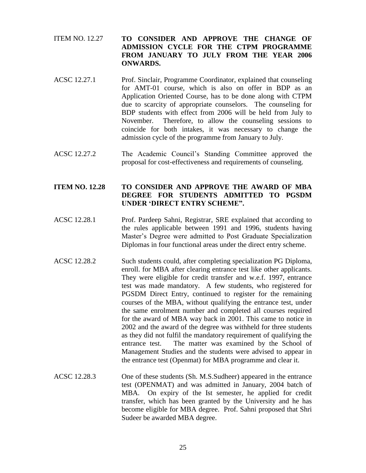- ITEM NO. 12.27 **TO CONSIDER AND APPROVE THE CHANGE OF ADMISSION CYCLE FOR THE CTPM PROGRAMME FROM JANUARY TO JULY FROM THE YEAR 2006 ONWARDS.**
- ACSC 12.27.1 Prof. Sinclair, Programme Coordinator, explained that counseling for AMT-01 course, which is also on offer in BDP as an Application Oriented Course, has to be done along with CTPM due to scarcity of appropriate counselors. The counseling for BDP students with effect from 2006 will be held from July to November. Therefore, to allow the counseling sessions to coincide for both intakes, it was necessary to change the admission cycle of the programme from January to July.
- ACSC 12.27.2 The Academic Council's Standing Committee approved the proposal for cost-effectiveness and requirements of counseling.

# **ITEM NO. 12.28 TO CONSIDER AND APPROVE THE AWARD OF MBA DEGREE FOR STUDENTS ADMITTED TO PGSDM UNDER 'DIRECT ENTRY SCHEME".**

- ACSC 12.28.1 Prof. Pardeep Sahni, Registrar, SRE explained that according to the rules applicable between 1991 and 1996, students having Master's Degree were admitted to Post Graduate Specialization Diplomas in four functional areas under the direct entry scheme.
- ACSC 12.28.2 Such students could, after completing specialization PG Diploma, enroll. for MBA after clearing entrance test like other applicants. They were eligible for credit transfer and w.e.f. 1997, entrance test was made mandatory. A few students, who registered for PGSDM Direct Entry, continued to register for the remaining courses of the MBA, without qualifying the entrance test, under the same enrolment number and completed all courses required for the award of MBA way back in 2001. This came to notice in 2002 and the award of the degree was withheld for three students as they did not fulfil the mandatory requirement of qualifying the entrance test. The matter was examined by the School of Management Studies and the students were advised to appear in the entrance test (Openmat) for MBA programme and clear it.
- ACSC 12.28.3 One of these students (Sh. M.S.Sudheer) appeared in the entrance test (OPENMAT) and was admitted in January, 2004 batch of MBA. On expiry of the Ist semester, he applied for credit transfer, which has been granted by the University and he has become eligible for MBA degree. Prof. Sahni proposed that Shri Sudeer be awarded MBA degree.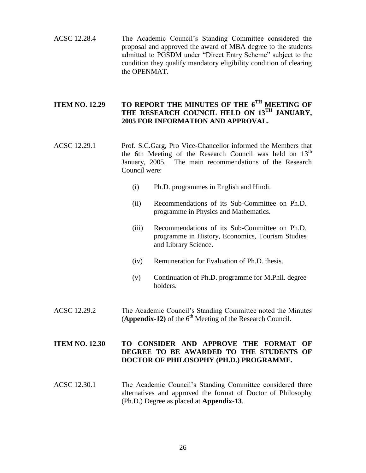ACSC 12.28.4 The Academic Council's Standing Committee considered the proposal and approved the award of MBA degree to the students admitted to PGSDM under "Direct Entry Scheme" subject to the condition they qualify mandatory eligibility condition of clearing the OPENMAT.

# **ITEM NO. 12.29 TO REPORT THE MINUTES OF THE 6TH MEETING OF THE RESEARCH COUNCIL HELD ON 13TH JANUARY, 2005 FOR INFORMATION AND APPROVAL.**

- ACSC 12.29.1 Prof. S.C.Garg, Pro Vice-Chancellor informed the Members that the 6th Meeting of the Research Council was held on  $13<sup>th</sup>$ January, 2005. The main recommendations of the Research Council were:
	- (i) Ph.D. programmes in English and Hindi.
	- (ii) Recommendations of its Sub-Committee on Ph.D. programme in Physics and Mathematics.
	- (iii) Recommendations of its Sub-Committee on Ph.D. programme in History, Economics, Tourism Studies and Library Science.
	- (iv) Remuneration for Evaluation of Ph.D. thesis.
	- (v) Continuation of Ph.D. programme for M.Phil. degree holders.
- ACSC 12.29.2 The Academic Council's Standing Committee noted the Minutes (**Appendix-12**) of the  $6<sup>th</sup>$  Meeting of the Research Council.

# **ITEM NO. 12.30 TO CONSIDER AND APPROVE THE FORMAT OF DEGREE TO BE AWARDED TO THE STUDENTS OF DOCTOR OF PHILOSOPHY (PH.D.) PROGRAMME.**

ACSC 12.30.1 The Academic Council's Standing Committee considered three alternatives and approved the format of Doctor of Philosophy (Ph.D.) Degree as placed at **Appendix-13**.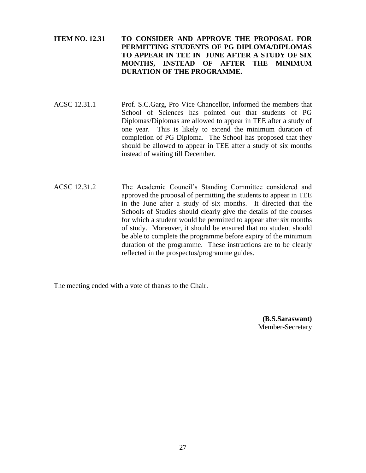# **ITEM NO. 12.31 TO CONSIDER AND APPROVE THE PROPOSAL FOR PERMITTING STUDENTS OF PG DIPLOMA/DIPLOMAS TO APPEAR IN TEE IN JUNE AFTER A STUDY OF SIX MONTHS, INSTEAD OF AFTER THE MINIMUM DURATION OF THE PROGRAMME.**

- ACSC 12.31.1 Prof. S.C.Garg, Pro Vice Chancellor, informed the members that School of Sciences has pointed out that students of PG Diplomas/Diplomas are allowed to appear in TEE after a study of one year. This is likely to extend the minimum duration of completion of PG Diploma. The School has proposed that they should be allowed to appear in TEE after a study of six months instead of waiting till December.
- ACSC 12.31.2 The Academic Council's Standing Committee considered and approved the proposal of permitting the students to appear in TEE in the June after a study of six months. It directed that the Schools of Studies should clearly give the details of the courses for which a student would be permitted to appear after six months of study. Moreover, it should be ensured that no student should be able to complete the programme before expiry of the minimum duration of the programme. These instructions are to be clearly reflected in the prospectus/programme guides.

The meeting ended with a vote of thanks to the Chair.

**(B.S.Saraswant)** Member-Secretary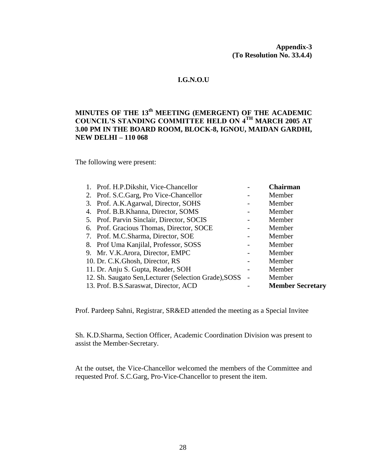**Appendix-3 (To Resolution No. 33.4.4)**

# **I.G.N.O.U**

# **MINUTES OF THE 13th MEETING (EMERGENT) OF THE ACADEMIC COUNCIL'S STANDING COMMITTEE HELD ON 4TH MARCH 2005 AT 3.00 PM IN THE BOARD ROOM, BLOCK-8, IGNOU, MAIDAN GARDHI, NEW DELHI – 110 068**

The following were present:

| 1. Prof. H.P.Dikshit, Vice-Chancellor                 | <b>Chairman</b>         |
|-------------------------------------------------------|-------------------------|
| 2. Prof. S.C.Garg, Pro Vice-Chancellor                | Member                  |
| 3. Prof. A.K.Agarwal, Director, SOHS                  | Member                  |
| 4. Prof. B.B.Khanna, Director, SOMS                   | Member                  |
| 5. Prof. Parvin Sinclair, Director, SOCIS             | Member                  |
| 6. Prof. Gracious Thomas, Director, SOCE              | Member                  |
| 7. Prof. M.C.Sharma, Director, SOE                    | Member                  |
| 8. Prof Uma Kanjilal, Professor, SOSS                 | Member                  |
| 9. Mr. V.K.Arora, Director, EMPC                      | Member                  |
| 10. Dr. C.K. Ghosh, Director, RS                      | Member                  |
| 11. Dr. Anju S. Gupta, Reader, SOH                    | Member                  |
| 12. Sh. Saugato Sen, Lecturer (Selection Grade), SOSS | Member                  |
| 13. Prof. B.S. Saraswat, Director, ACD                | <b>Member Secretary</b> |

Prof. Pardeep Sahni, Registrar, SR&ED attended the meeting as a Special Invitee

Sh. K.D.Sharma, Section Officer, Academic Coordination Division was present to assist the Member-Secretary.

At the outset, the Vice-Chancellor welcomed the members of the Committee and requested Prof. S.C.Garg, Pro-Vice-Chancellor to present the item.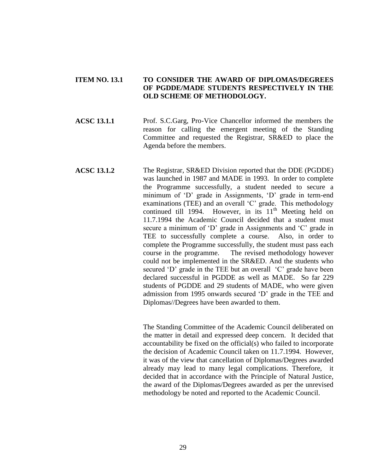## **ITEM NO. 13.1 TO CONSIDER THE AWARD OF DIPLOMAS/DEGREES OF PGDDE/MADE STUDENTS RESPECTIVELY IN THE OLD SCHEME OF METHODOLOGY.**

**ACSC 13.1.1** Prof. S.C.Garg, Pro-Vice Chancellor informed the members the reason for calling the emergent meeting of the Standing Committee and requested the Registrar, SR&ED to place the Agenda before the members.

**ACSC 13.1.2** The Registrar, SR&ED Division reported that the DDE (PGDDE) was launched in 1987 and MADE in 1993. In order to complete the Programme successfully, a student needed to secure a minimum of 'D' grade in Assignments, 'D' grade in term-end examinations (TEE) and an overall 'C' grade. This methodology continued till 1994. However, in its  $11<sup>th</sup>$  Meeting held on 11.7.1994 the Academic Council decided that a student must secure a minimum of 'D' grade in Assignments and 'C' grade in TEE to successfully complete a course. Also, in order to complete the Programme successfully, the student must pass each course in the programme. The revised methodology however could not be implemented in the SR&ED. And the students who secured 'D' grade in the TEE but an overall 'C' grade have been declared successful in PGDDE as well as MADE. So far 229 students of PGDDE and 29 students of MADE, who were given admission from 1995 onwards secured 'D' grade in the TEE and Diplomas//Degrees have been awarded to them.

> The Standing Committee of the Academic Council deliberated on the matter in detail and expressed deep concern. It decided that accountability be fixed on the official(s) who failed to incorporate the decision of Academic Council taken on 11.7.1994. However, it was of the view that cancellation of Diplomas/Degrees awarded already may lead to many legal complications. Therefore, it decided that in accordance with the Principle of Natural Justice, the award of the Diplomas/Degrees awarded as per the unrevised methodology be noted and reported to the Academic Council.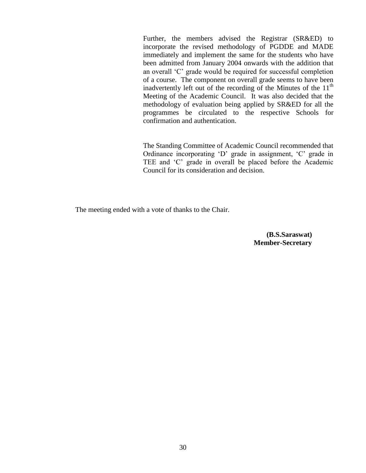Further, the members advised the Registrar (SR&ED) to incorporate the revised methodology of PGDDE and MADE immediately and implement the same for the students who have been admitted from January 2004 onwards with the addition that an overall 'C' grade would be required for successful completion of a course. The component on overall grade seems to have been inadvertently left out of the recording of the Minutes of the  $11<sup>th</sup>$ Meeting of the Academic Council. It was also decided that the methodology of evaluation being applied by SR&ED for all the programmes be circulated to the respective Schools for confirmation and authentication.

The Standing Committee of Academic Council recommended that Ordinance incorporating 'D' grade in assignment, 'C' grade in TEE and 'C' grade in overall be placed before the Academic Council for its consideration and decision.

The meeting ended with a vote of thanks to the Chair.

**(B.S.Saraswat) Member-Secretary**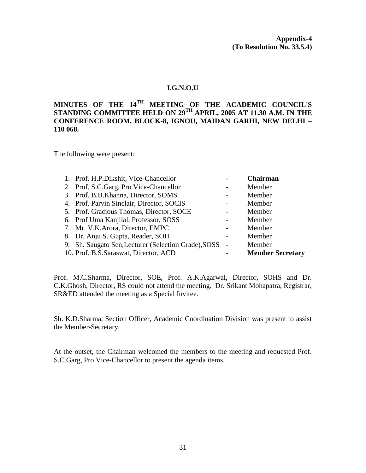#### **I.G.N.O.U**

# **MINUTES OF THE 14TH MEETING OF THE ACADEMIC COUNCIL'S STANDING COMMITTEE HELD ON 29TH APRIL, 2005 AT 11.30 A.M. IN THE CONFERENCE ROOM, BLOCK-8, IGNOU, MAIDAN GARHI, NEW DELHI – 110 068.**

The following were present:

| 1. Prof. H.P.Dikshit, Vice-Chancellor                | <b>Chairman</b>         |
|------------------------------------------------------|-------------------------|
| 2. Prof. S.C.Garg, Pro Vice-Chancellor               | Member                  |
| 3. Prof. B.B.Khanna, Director, SOMS                  | Member                  |
| 4. Prof. Parvin Sinclair, Director, SOCIS            | Member                  |
| 5. Prof. Gracious Thomas, Director, SOCE             | Member                  |
| 6. Prof Uma Kanjilal, Professor, SOSS                | Member                  |
| 7. Mr. V.K. Arora, Director, EMPC                    | Member                  |
| 8. Dr. Anju S. Gupta, Reader, SOH                    | Member                  |
| 9. Sh. Saugato Sen, Lecturer (Selection Grade), SOSS | Member                  |
| 10. Prof. B.S. Saraswat, Director, ACD               | <b>Member Secretary</b> |

Prof. M.C.Sharma, Director, SOE, Prof. A.K.Agarwal, Director, SOHS and Dr. C.K.Ghosh, Director, RS could not attend the meeting. Dr. Srikant Mohapatra, Registrar, SR&ED attended the meeting as a Special Invitee.

Sh. K.D.Sharma, Section Officer, Academic Coordination Division was present to assist the Member-Secretary.

At the outset, the Chairman welcomed the members to the meeting and requested Prof. S.C.Garg, Pro Vice-Chancellor to present the agenda items.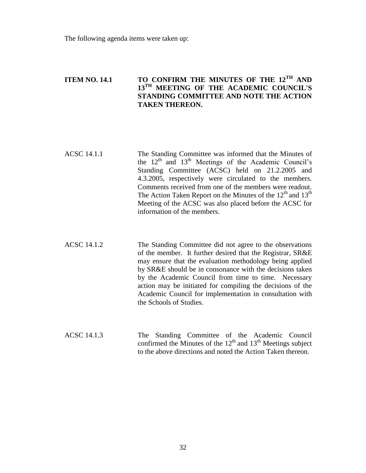The following agenda items were taken up:

# **ITEM NO. 14.1 TO CONFIRM THE MINUTES OF THE 12TH AND 13TH MEETING OF THE ACADEMIC COUNCIL'S STANDING COMMITTEE AND NOTE THE ACTION TAKEN THEREON.**

| ACSC 14.1.1 | The Standing Committee was informed that the Minutes of         |
|-------------|-----------------------------------------------------------------|
|             | the $12^{th}$ and $13^{th}$ Meetings of the Academic Council's  |
|             | Standing Committee (ACSC) held on 21.2.2005 and                 |
|             | 4.3.2005, respectively were circulated to the members.          |
|             | Comments received from one of the members were readout.         |
|             | The Action Taken Report on the Minutes of the $12th$ and $13th$ |
|             | Meeting of the ACSC was also placed before the ACSC for         |
|             | information of the members.                                     |

ACSC 14.1.2 The Standing Committee did not agree to the observations of the member. It further desired that the Registrar, SR&E may ensure that the evaluation methodology being applied by SR&E should be in consonance with the decisions taken by the Academic Council from time to time. Necessary action may be initiated for compiling the decisions of the Academic Council for implementation in consultation with the Schools of Studies.

ACSC 14.1.3 The Standing Committee of the Academic Council confirmed the Minutes of the  $12<sup>th</sup>$  and  $13<sup>th</sup>$  Meetings subject to the above directions and noted the Action Taken thereon.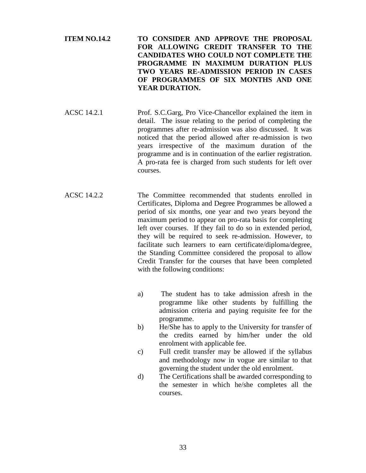**ITEM NO.14.2 TO CONSIDER AND APPROVE THE PROPOSAL FOR ALLOWING CREDIT TRANSFER TO THE CANDIDATES WHO COULD NOT COMPLETE THE PROGRAMME IN MAXIMUM DURATION PLUS TWO YEARS RE-ADMISSION PERIOD IN CASES OF PROGRAMMES OF SIX MONTHS AND ONE YEAR DURATION.**

ACSC 14.2.1 Prof. S.C.Garg, Pro Vice-Chancellor explained the item in detail. The issue relating to the period of completing the programmes after re-admission was also discussed. It was noticed that the period allowed after re-admission is two years irrespective of the maximum duration of the programme and is in continuation of the earlier registration. A pro-rata fee is charged from such students for left over courses.

- ACSC 14.2.2 The Committee recommended that students enrolled in Certificates, Diploma and Degree Programmes be allowed a period of six months, one year and two years beyond the maximum period to appear on pro-rata basis for completing left over courses. If they fail to do so in extended period, they will be required to seek re-admission. However, to facilitate such learners to earn certificate/diploma/degree, the Standing Committee considered the proposal to allow Credit Transfer for the courses that have been completed with the following conditions:
	- a) The student has to take admission afresh in the programme like other students by fulfilling the admission criteria and paying requisite fee for the programme.
	- b) He/She has to apply to the University for transfer of the credits earned by him/her under the old enrolment with applicable fee.
	- c) Full credit transfer may be allowed if the syllabus and methodology now in vogue are similar to that governing the student under the old enrolment.
	- d) The Certifications shall be awarded corresponding to the semester in which he/she completes all the courses.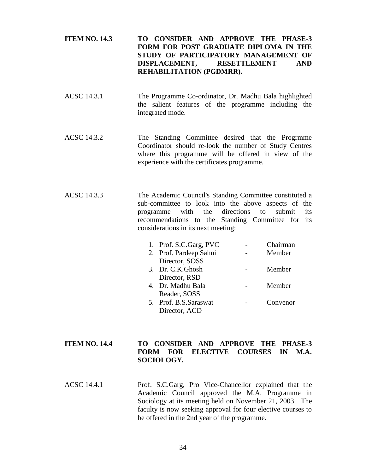# **ITEM NO. 14.3 TO CONSIDER AND APPROVE THE PHASE-3 FORM FOR POST GRADUATE DIPLOMA IN THE STUDY OF PARTICIPATORY MANAGEMENT OF DISPLACEMENT, RESETTLEMENT AND REHABILITATION (PGDMRR).**

- ACSC 14.3.1 The Programme Co-ordinator, Dr. Madhu Bala highlighted the salient features of the programme including the integrated mode.
- ACSC 14.3.2 The Standing Committee desired that the Progrmme Coordinator should re-look the number of Study Centres where this programme will be offered in view of the experience with the certificates programme.
- ACSC 14.3.3 The Academic Council's Standing Committee constituted a sub-committee to look into the above aspects of the programme with the directions to submit its recommendations to the Standing Committee for its considerations in its next meeting:

| 1. Prof. S.C.Garg, PVC | Chairman |
|------------------------|----------|
| 2. Prof. Pardeep Sahni | Member   |
| Director, SOSS         |          |
| 3. Dr. C.K.Ghosh       | Member   |
| Director, RSD          |          |
| 4. Dr. Madhu Bala      | Member   |
| Reader, SOSS           |          |
| 5. Prof. B.S. Saraswat | Convenor |
| Director, ACD          |          |

# **ITEM NO. 14.4 TO CONSIDER AND APPROVE THE PHASE-3 FORM FOR ELECTIVE COURSES IN M.A. SOCIOLOGY.**

ACSC 14.4.1 Prof. S.C.Garg, Pro Vice-Chancellor explained that the Academic Council approved the M.A. Programme in Sociology at its meeting held on November 21, 2003. The faculty is now seeking approval for four elective courses to be offered in the 2nd year of the programme.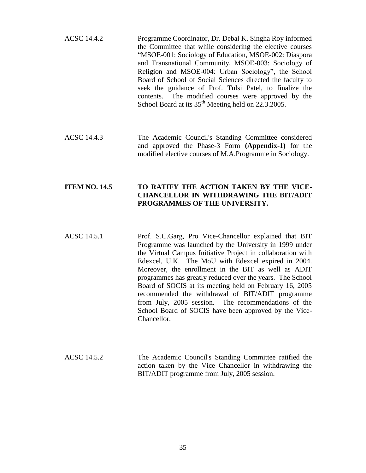| ACSC 14.4.2 | Programme Coordinator, Dr. Debal K. Singha Roy informed         |
|-------------|-----------------------------------------------------------------|
|             | the Committee that while considering the elective courses       |
|             | "MSOE-001: Sociology of Education, MSOE-002: Diaspora           |
|             | and Transnational Community, MSOE-003: Sociology of             |
|             | Religion and MSOE-004: Urban Sociology", the School             |
|             | Board of School of Social Sciences directed the faculty to      |
|             | seek the guidance of Prof. Tulsi Patel, to finalize the         |
|             | contents. The modified courses were approved by the             |
|             | School Board at its 35 <sup>th</sup> Meeting held on 22.3.2005. |

ACSC 14.4.3 The Academic Council's Standing Committee considered and approved the Phase-3 Form **(Appendix-1)** for the modified elective courses of M.A.Programme in Sociology.

# **ITEM NO. 14.5 TO RATIFY THE ACTION TAKEN BY THE VICE-CHANCELLOR IN WITHDRAWING THE BIT/ADIT PROGRAMMES OF THE UNIVERSITY.**

- ACSC 14.5.1 Prof. S.C.Garg, Pro Vice-Chancellor explained that BIT Programme was launched by the University in 1999 under the Virtual Campus Initiative Project in collaboration with Edexcel, U.K. The MoU with Edexcel expired in 2004. Moreover, the enrollment in the BIT as well as ADIT programmes has greatly reduced over the years. The School Board of SOCIS at its meeting held on February 16, 2005 recommended the withdrawal of BIT/ADIT programme from July, 2005 session. The recommendations of the School Board of SOCIS have been approved by the Vice-Chancellor.
- ACSC 14.5.2 The Academic Council's Standing Committee ratified the action taken by the Vice Chancellor in withdrawing the BIT/ADIT programme from July, 2005 session.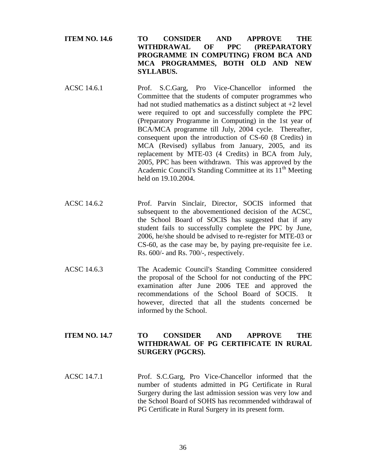**ITEM NO. 14.6 TO CONSIDER AND APPROVE THE WITHDRAWAL OF PPC (PREPARATORY PROGRAMME IN COMPUTING) FROM BCA AND MCA PROGRAMMES, BOTH OLD AND NEW SYLLABUS.**

- ACSC 14.6.1 Prof. S.C.Garg, Pro Vice-Chancellor informed the Committee that the students of computer programmes who had not studied mathematics as a distinct subject at  $+2$  level were required to opt and successfully complete the PPC (Preparatory Programme in Computing) in the 1st year of BCA/MCA programme till July, 2004 cycle. Thereafter, consequent upon the introduction of CS-60 (8 Credits) in MCA (Revised) syllabus from January, 2005, and its replacement by MTE-03 (4 Credits) in BCA from July, 2005, PPC has been withdrawn. This was approved by the Academic Council's Standing Committee at its  $11<sup>th</sup>$  Meeting held on 19.10.2004.
- ACSC 14.6.2 Prof. Parvin Sinclair, Director, SOCIS informed that subsequent to the abovementioned decision of the ACSC, the School Board of SOCIS has suggested that if any student fails to successfully complete the PPC by June, 2006, he/she should be advised to re-register for MTE-03 or CS-60, as the case may be, by paying pre-requisite fee i.e. Rs. 600/- and Rs. 700/-, respectively.
- ACSC 14.6.3 The Academic Council's Standing Committee considered the proposal of the School for not conducting of the PPC examination after June 2006 TEE and approved the recommendations of the School Board of SOCIS. It however, directed that all the students concerned be informed by the School.

# **ITEM NO. 14.7 TO CONSIDER AND APPROVE THE WITHDRAWAL OF PG CERTIFICATE IN RURAL SURGERY (PGCRS).**

ACSC 14.7.1 Prof. S.C.Garg, Pro Vice-Chancellor informed that the number of students admitted in PG Certificate in Rural Surgery during the last admission session was very low and the School Board of SOHS has recommended withdrawal of PG Certificate in Rural Surgery in its present form.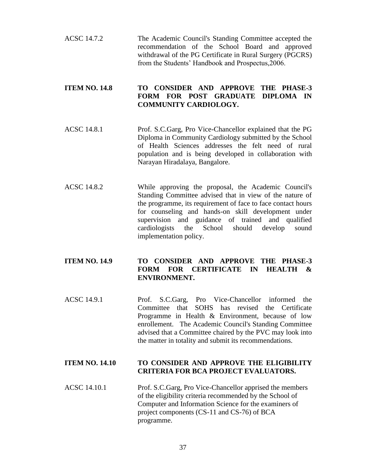ACSC 14.7.2 The Academic Council's Standing Committee accepted the recommendation of the School Board and approved withdrawal of the PG Certificate in Rural Surgery (PGCRS) from the Students' Handbook and Prospectus,2006.

# **ITEM NO. 14.8 TO CONSIDER AND APPROVE THE PHASE-3 FORM FOR POST GRADUATE DIPLOMA IN COMMUNITY CARDIOLOGY.**

- ACSC 14.8.1 Prof. S.C.Garg, Pro Vice-Chancellor explained that the PG Diploma in Community Cardiology submitted by the School of Health Sciences addresses the felt need of rural population and is being developed in collaboration with Narayan Hiradalaya, Bangalore.
- ACSC 14.8.2 While approving the proposal, the Academic Council's Standing Committee advised that in view of the nature of the programme, its requirement of face to face contact hours for counseling and hands-on skill development under supervision and guidance of trained and qualified cardiologists the School should develop sound implementation policy.

# **ITEM NO. 14.9 TO CONSIDER AND APPROVE THE PHASE-3 FORM FOR CERTIFICATE IN HEALTH & ENVIRONMENT.**

ACSC 14.9.1 Prof. S.C.Garg, Pro Vice-Chancellor informed the Committee that SOHS has revised the Certificate Programme in Health & Environment, because of low enrollement. The Academic Council's Standing Committee advised that a Committee chaired by the PVC may look into the matter in totality and submit its recommendations.

# **ITEM NO. 14.10 TO CONSIDER AND APPROVE THE ELIGIBILITY CRITERIA FOR BCA PROJECT EVALUATORS.**

ACSC 14.10.1 Prof. S.C.Garg, Pro Vice-Chancellor apprised the members of the eligibility criteria recommended by the School of Computer and Information Science for the examiners of project components (CS-11 and CS-76) of BCA programme.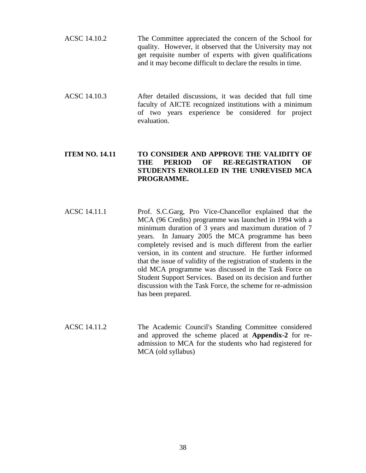- ACSC 14.10.2 The Committee appreciated the concern of the School for quality. However, it observed that the University may not get requisite number of experts with given qualifications and it may become difficult to declare the results in time.
- ACSC 14.10.3 After detailed discussions, it was decided that full time faculty of AICTE recognized institutions with a minimum of two years experience be considered for project evaluation.

# **ITEM NO. 14.11 TO CONSIDER AND APPROVE THE VALIDITY OF THE PERIOD OF RE-REGISTRATION OF STUDENTS ENROLLED IN THE UNREVISED MCA PROGRAMME.**

- ACSC 14.11.1 Prof. S.C.Garg, Pro Vice-Chancellor explained that the MCA (96 Credits) programme was launched in 1994 with a minimum duration of 3 years and maximum duration of 7 years. In January 2005 the MCA programme has been completely revised and is much different from the earlier version, in its content and structure. He further informed that the issue of validity of the registration of students in the old MCA programme was discussed in the Task Force on Student Support Services. Based on its decision and further discussion with the Task Force, the scheme for re-admission has been prepared.
- ACSC 14.11.2 The Academic Council's Standing Committee considered and approved the scheme placed at **Appendix-2** for readmission to MCA for the students who had registered for MCA (old syllabus)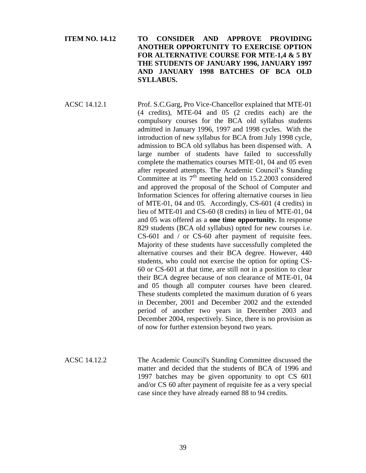# **ITEM NO. 14.12 TO CONSIDER AND APPROVE PROVIDING ANOTHER OPPORTUNITY TO EXERCISE OPTION FOR ALTERNATIVE COURSE FOR MTE-1,4 & 5 BY THE STUDENTS OF JANUARY 1996, JANUARY 1997 AND JANUARY 1998 BATCHES OF BCA OLD SYLLABUS.**

ACSC 14.12.1 Prof. S.C.Garg, Pro Vice-Chancellor explained that MTE-01 (4 credits), MTE-04 and 05 (2 credits each) are the compulsory courses for the BCA old syllabus students admitted in January 1996, 1997 and 1998 cycles. With the introduction of new syllabus for BCA from July 1998 cycle, admission to BCA old syllabus has been dispensed with. A large number of students have failed to successfully complete the mathematics courses MTE-01, 04 and 05 even after repeated attempts. The Academic Council's Standing Committee at its  $7<sup>th</sup>$  meeting held on 15.2.2003 considered and approved the proposal of the School of Computer and Information Sciences for offering alternative courses in lieu of MTE-01, 04 and 05. Accordingly, CS-601 (4 credits) in lieu of MTE-01 and CS-60 (8 credits) in lieu of MTE-01, 04 and 05 was offered as a **one time opportunity.** In response 829 students (BCA old syllabus) opted for new courses i.e. CS-601 and / or CS-60 after payment of requisite fees. Majority of these students have successfully completed the alternative courses and their BCA degree. However, 440 students, who could not exercise the option for opting CS-60 or CS-601 at that time, are still not in a position to clear their BCA degree because of non clearance of MTE-01, 04 and 05 though all computer courses have been cleared. These students completed the maximum duration of 6 years in December, 2001 and December 2002 and the extended period of another two years in December 2003 and December 2004, respectively. Since, there is no provision as of now for further extension beyond two years.

ACSC 14.12.2 The Academic Council's Standing Committee discussed the matter and decided that the students of BCA of 1996 and 1997 batches may be given opportunity to opt CS 601 and/or CS 60 after payment of requisite fee as a very special case since they have already earned 88 to 94 credits.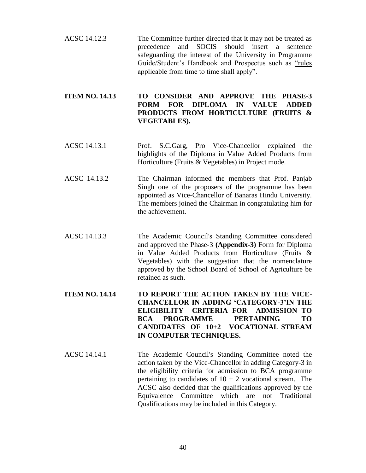ACSC 14.12.3 The Committee further directed that it may not be treated as precedence and SOCIS should insert a sentence safeguarding the interest of the University in Programme Guide/Student's Handbook and Prospectus such as "rules applicable from time to time shall apply".

# **ITEM NO. 14.13 TO CONSIDER AND APPROVE THE PHASE-3 FORM FOR DIPLOMA IN VALUE ADDED PRODUCTS FROM HORTICULTURE (FRUITS & VEGETABLES).**

- ACSC 14.13.1 Prof. S.C.Garg, Pro Vice-Chancellor explained the highlights of the Diploma in Value Added Products from Horticulture (Fruits & Vegetables) in Project mode.
- ACSC 14.13.2 The Chairman informed the members that Prof. Panjab Singh one of the proposers of the programme has been appointed as Vice-Chancellor of Banaras Hindu University. The members joined the Chairman in congratulating him for the achievement.
- ACSC 14.13.3 The Academic Council's Standing Committee considered and approved the Phase-3 **(Appendix-3)** Form for Diploma in Value Added Products from Horticulture (Fruits & Vegetables) with the suggestion that the nomenclature approved by the School Board of School of Agriculture be retained as such.
- **ITEM NO. 14.14 TO REPORT THE ACTION TAKEN BY THE VICE-CHANCELLOR IN ADDING 'CATEGORY-3'IN THE ELIGIBILITY CRITERIA FOR ADMISSION TO BCA PROGRAMME PERTAINING TO CANDIDATES OF 10+2 VOCATIONAL STREAM IN COMPUTER TECHNIQUES.**
- ACSC 14.14.1 The Academic Council's Standing Committee noted the action taken by the Vice-Chancellor in adding Category-3 in the eligibility criteria for admission to BCA programme pertaining to candidates of  $10 + 2$  vocational stream. The ACSC also decided that the qualifications approved by the Equivalence Committee which are not Traditional Qualifications may be included in this Category.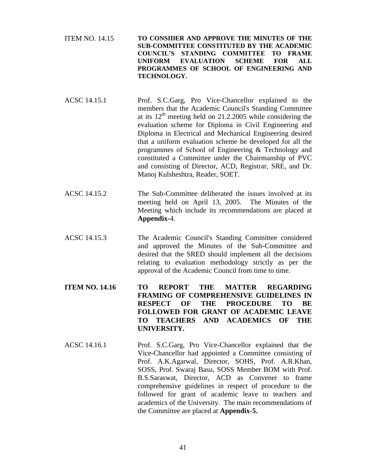ITEM NO. 14.15 **TO CONSIDER AND APPROVE THE MINUTES OF THE SUB-COMMITTEE CONSTITUTED BY THE ACADEMIC COUNCIL'S STANDING COMMITTEE TO FRAME UNIFORM EVALUATION SCHEME FOR ALL PROGRAMMES OF SCHOOL OF ENGINEERING AND TECHNOLOGY.**

- ACSC 14.15.1 Prof. S.C.Garg, Pro Vice-Chancellor explained to the members that the Academic Council's Standing Committee at its  $12<sup>th</sup>$  meeting held on 21.2.2005 while considering the evaluation scheme for Diploma in Civil Engineering and Diploma in Electrical and Mechanical Engineering desired that a uniform evaluation scheme be developed for all the programmes of School of Engineering & Technology and constituted a Committee under the Chairmanship of PVC and consisting of Director, ACD, Registrar, SRE, and Dr. Manoj Kulsheshtra, Reader, SOET.
- ACSC 14.15.2 The Sub-Committee deliberated the issues involved at its meeting held on April 13, 2005. The Minutes of the Meeting which include its recommendations are placed at **Appendix-**4.
- ACSC 14.15.3 The Academic Council's Standing Committee considered and approved the Minutes of the Sub-Committee and desired that the SRED should implement all the decisions relating to evaluation methodology strictly as per the approval of the Academic Council from time to time.
- **ITEM NO. 14.16 TO REPORT THE MATTER REGARDING FRAMING OF COMPREHENSIVE GUIDELINES IN RESPECT OF THE PROCEDURE TO BE FOLLOWED FOR GRANT OF ACADEMIC LEAVE TO TEACHERS AND ACADEMICS OF THE UNIVERSITY.**
- ACSC 14.16.1 Prof. S.C.Garg, Pro Vice-Chancellor explained that the Vice-Chancellor had appointed a Committee consisting of Prof. A.K.Agarwal, Director, SOHS, Prof. A.R.Khan, SOSS, Prof. Swaraj Basu, SOSS Member BOM with Prof. B.S.Saraswat, Director, ACD as Convener to frame comprehensive guidelines in respect of procedure to tbe followed for grant of academic leave to teachers and academics of the University. The main recommendations of the Committee are placed at **Appendix-5.**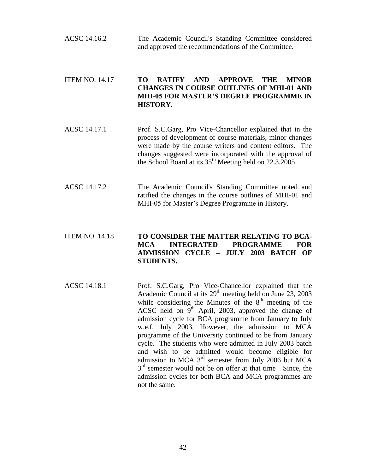ACSC 14.16.2 The Academic Council's Standing Committee considered and approved the recommendations of the Committee.

# ITEM NO. 14.17 **TO RATIFY AND APPROVE THE MINOR CHANGES IN COURSE OUTLINES OF MHI-01 AND MHI-05 FOR MASTER'S DEGREE PROGRAMME IN HISTORY.**

- ACSC 14.17.1 Prof. S.C.Garg, Pro Vice-Chancellor explained that in the process of development of course materials, minor changes were made by the course writers and content editors. The changes suggested were incorporated with the approval of the School Board at its  $35<sup>th</sup>$  Meeting held on 22.3.2005.
- ACSC 14.17.2 The Academic Council's Standing Committee noted and ratified the changes in the course outlines of MHI-01 and MHI-05 for Master's Degree Programme in History.

# ITEM NO. 14.18 **TO CONSIDER THE MATTER RELATING TO BCA-MCA INTEGRATED PROGRAMME FOR ADMISSION CYCLE – JULY 2003 BATCH OF STUDENTS.**

ACSC 14.18.1 Prof. S.C.Garg, Pro Vice-Chancellor explained that the Academic Council at its  $29<sup>th</sup>$  meeting held on June 23, 2003 while considering the Minutes of the  $8<sup>th</sup>$  meeting of the ACSC held on  $9<sup>th</sup>$  April, 2003, approved the change of admission cycle for BCA programme from January to July w.e.f. July 2003, However, the admission to MCA programme of the University continued to be from January cycle. The students who were admitted in July 2003 batch and wish to be admitted would become eligible for admission to MCA  $3<sup>rd</sup>$  semester from July 2006 but MCA  $3<sup>rd</sup>$  semester would not be on offer at that time Since, the admission cycles for both BCA and MCA programmes are not the same.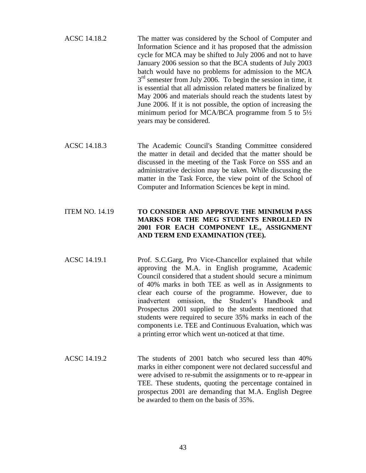| ACSC 14.18.2 | The matter was considered by the School of Computer and         |
|--------------|-----------------------------------------------------------------|
|              | Information Science and it has proposed that the admission      |
|              | cycle for MCA may be shifted to July 2006 and not to have       |
|              | January 2006 session so that the BCA students of July 2003      |
|              | batch would have no problems for admission to the MCA           |
|              | $3rd$ semester from July 2006. To begin the session in time, it |
|              | is essential that all admission related matters be finalized by |
|              | May 2006 and materials should reach the students latest by      |
|              | June 2006. If it is not possible, the option of increasing the  |
|              | minimum period for MCA/BCA programme from 5 to $5\frac{1}{2}$   |
|              | years may be considered.                                        |

ACSC 14.18.3 The Academic Council's Standing Committee considered the matter in detail and decided that the matter should be discussed in the meeting of the Task Force on SSS and an administrative decision may be taken. While discussing the matter in the Task Force, the view point of the School of Computer and Information Sciences be kept in mind.

# ITEM NO. 14.19 **TO CONSIDER AND APPROVE THE MINIMUM PASS MARKS FOR THE MEG STUDENTS ENROLLED IN 2001 FOR EACH COMPONENT I.E., ASSIGNMENT AND TERM END EXAMINATION (TEE).**

- ACSC 14.19.1 Prof. S.C.Garg, Pro Vice-Chancellor explained that while approving the M.A. in English programme, Academic Council considered that a student should secure a minimum of 40% marks in both TEE as well as in Assignments to clear each course of the programme. However, due to inadvertent omission, the Student's Handbook and Prospectus 2001 supplied to the students mentioned that students were required to secure 35% marks in each of the components i.e. TEE and Continuous Evaluation, which was a printing error which went un-noticed at that time.
- ACSC 14.19.2 The students of 2001 batch who secured less than 40% marks in either component were not declared successful and were advised to re-submit the assignments or to re-appear in TEE. These students, quoting the percentage contained in prospectus 2001 are demanding that M.A. English Degree be awarded to them on the basis of 35%.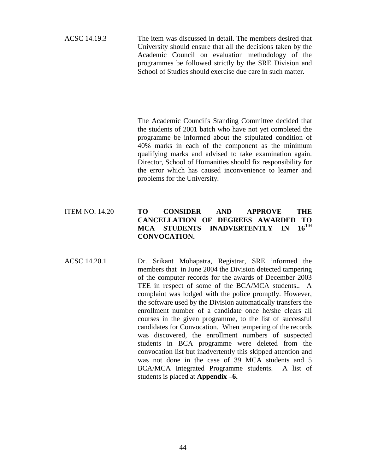ACSC 14.19.3 The item was discussed in detail. The members desired that University should ensure that all the decisions taken by the Academic Council on evaluation methodology of the programmes be followed strictly by the SRE Division and School of Studies should exercise due care in such matter.

> The Academic Council's Standing Committee decided that the students of 2001 batch who have not yet completed the programme be informed about the stipulated condition of 40% marks in each of the component as the minimum qualifying marks and advised to take examination again. Director, School of Humanities should fix responsibility for the error which has caused inconvenience to learner and problems for the University.

# ITEM NO. 14.20 **TO CONSIDER AND APPROVE THE CANCELLATION OF DEGREES AWARDED TO MCA STUDENTS INADVERTENTLY IN CONVOCATION.**

ACSC 14.20.1 Dr. Srikant Mohapatra, Registrar, SRE informed the members that in June 2004 the Division detected tampering of the computer records for the awards of December 2003 TEE in respect of some of the BCA/MCA students.. A complaint was lodged with the police promptly. However, the software used by the Division automatically transfers the enrollment number of a candidate once he/she clears all courses in the given programme, to the list of successful candidates for Convocation. When tempering of the records was discovered, the enrollment numbers of suspected students in BCA programme were deleted from the convocation list but inadvertently this skipped attention and was not done in the case of 39 MCA students and 5 BCA/MCA Integrated Programme students. A list of students is placed at **Appendix –6.**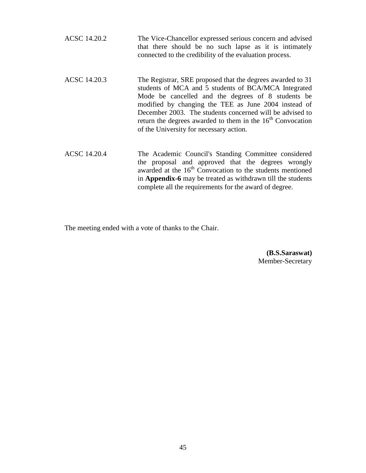| ACSC 14.20.2        | The Vice-Chancellor expressed serious concern and advised<br>that there should be no such lapse as it is intimately<br>connected to the credibility of the evaluation process.                                                                                                                                                                                                                          |
|---------------------|---------------------------------------------------------------------------------------------------------------------------------------------------------------------------------------------------------------------------------------------------------------------------------------------------------------------------------------------------------------------------------------------------------|
| ACSC 14.20.3        | The Registrar, SRE proposed that the degrees awarded to 31<br>students of MCA and 5 students of BCA/MCA Integrated<br>Mode be cancelled and the degrees of 8 students be<br>modified by changing the TEE as June 2004 instead of<br>December 2003. The students concerned will be advised to<br>return the degrees awarded to them in the $16th$ Convocation<br>of the University for necessary action. |
| <b>ACSC 14.20.4</b> | The Academic Council's Standing Committee considered<br>the proposal and approved that the degrees wrongly<br>awarded at the 16 <sup>th</sup> Convocation to the students mentioned<br>in Appendix-6 may be treated as withdrawn till the students<br>complete all the requirements for the award of degree.                                                                                            |

The meeting ended with a vote of thanks to the Chair.

**(B.S.Saraswat)** Member-Secretary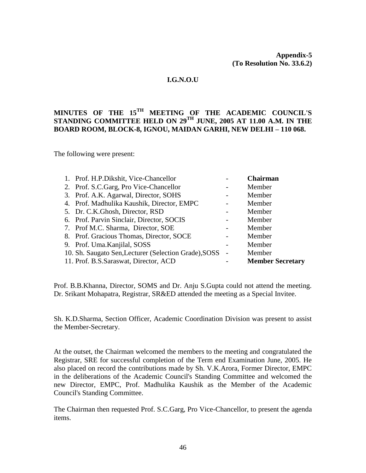# **I.G.N.O.U**

# **MINUTES OF THE 15TH MEETING OF THE ACADEMIC COUNCIL'S STANDING COMMITTEE HELD ON 29TH JUNE, 2005 AT 11.00 A.M. IN THE BOARD ROOM, BLOCK-8, IGNOU, MAIDAN GARHI, NEW DELHI – 110 068.**

The following were present:

| 1. Prof. H.P.Dikshit, Vice-Chancellor                 | <b>Chairman</b>         |
|-------------------------------------------------------|-------------------------|
| 2. Prof. S.C.Garg, Pro Vice-Chancellor                | Member                  |
| 3. Prof. A.K. Agarwal, Director, SOHS                 | Member                  |
| 4. Prof. Madhulika Kaushik, Director, EMPC            | Member                  |
| 5. Dr. C.K.Ghosh, Director, RSD                       | Member                  |
| 6. Prof. Parvin Sinclair, Director, SOCIS             | Member                  |
| 7. Prof M.C. Sharma, Director, SOE                    | Member                  |
| 8. Prof. Gracious Thomas, Director, SOCE              | Member                  |
| 9. Prof. Uma. Kanjilal, SOSS                          | Member                  |
| 10. Sh. Saugato Sen, Lecturer (Selection Grade), SOSS | Member                  |
| 11. Prof. B.S. Saraswat, Director, ACD                | <b>Member Secretary</b> |

Prof. B.B.Khanna, Director, SOMS and Dr. Anju S.Gupta could not attend the meeting. Dr. Srikant Mohapatra, Registrar, SR&ED attended the meeting as a Special Invitee.

Sh. K.D.Sharma, Section Officer, Academic Coordination Division was present to assist the Member-Secretary.

At the outset, the Chairman welcomed the members to the meeting and congratulated the Registrar, SRE for successful completion of the Term end Examination June, 2005. He also placed on record the contributions made by Sh. V.K.Arora, Former Director, EMPC in the deliberations of the Academic Council's Standing Committee and welcomed the new Director, EMPC, Prof. Madhulika Kaushik as the Member of the Academic Council's Standing Committee.

The Chairman then requested Prof. S.C.Garg, Pro Vice-Chancellor, to present the agenda items.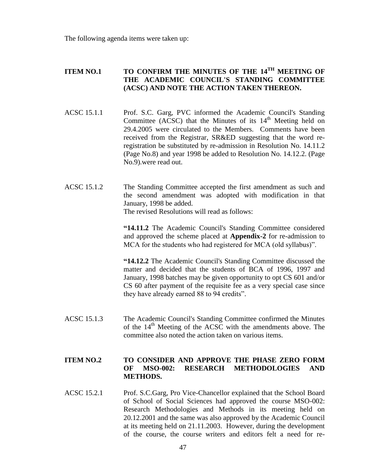The following agenda items were taken up:

# **ITEM NO.1 TO CONFIRM THE MINUTES OF THE 14TH MEETING OF THE ACADEMIC COUNCIL'S STANDING COMMITTEE (ACSC) AND NOTE THE ACTION TAKEN THEREON.**

- ACSC 15.1.1 Prof. S.C. Garg, PVC informed the Academic Council's Standing Committee (ACSC) that the Minutes of its  $14<sup>th</sup>$  Meeting held on 29.4.2005 were circulated to the Members. Comments have been received from the Registrar, SR&ED suggesting that the word reregistration be substituted by re-admission in Resolution No. 14.11.2 (Page No.8) and year 1998 be added to Resolution No. 14.12.2. (Page No.9).were read out.
- ACSC 15.1.2 The Standing Committee accepted the first amendment as such and the second amendment was adopted with modification in that January, 1998 be added. The revised Resolutions will read as follows:

**"14.11.2** The Academic Council's Standing Committee considered and approved the scheme placed at **Appendix-2** for re-admission to MCA for the students who had registered for MCA (old syllabus)".

**"14.12.2** The Academic Council's Standing Committee discussed the matter and decided that the students of BCA of 1996, 1997 and January, 1998 batches may be given opportunity to opt CS 601 and/or CS 60 after payment of the requisite fee as a very special case since they have already earned 88 to 94 credits".

ACSC 15.1.3 The Academic Council's Standing Committee confirmed the Minutes of the  $14<sup>th</sup>$  Meeting of the ACSC with the amendments above. The committee also noted the action taken on various items.

# **ITEM NO.2 TO CONSIDER AND APPROVE THE PHASE ZERO FORM OF MSO-002: RESEARCH METHODOLOGIES AND METHODS.**

ACSC 15.2.1 Prof. S.C.Garg, Pro Vice-Chancellor explained that the School Board of School of Social Sciences had approved the course MSO-002: Research Methodologies and Methods in its meeting held on 20.12.2001 and the same was also approved by the Academic Council at its meeting held on 21.11.2003. However, during the development of the course, the course writers and editors felt a need for re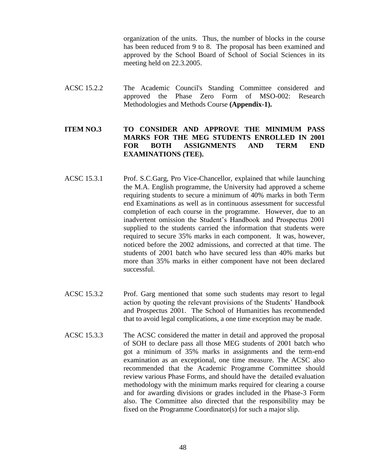organization of the units. Thus, the number of blocks in the course has been reduced from 9 to 8. The proposal has been examined and approved by the School Board of School of Social Sciences in its meeting held on 22.3.2005.

ACSC 15.2.2 The Academic Council's Standing Committee considered and approved the Phase Zero Form of MSO-002: Research Methodologies and Methods Course **(Appendix-1).**

# **ITEM NO.3 TO CONSIDER AND APPROVE THE MINIMUM PASS MARKS FOR THE MEG STUDENTS ENROLLED IN 2001 FOR BOTH ASSIGNMENTS AND TERM END EXAMINATIONS (TEE).**

- ACSC 15.3.1 Prof. S.C.Garg, Pro Vice-Chancellor, explained that while launching the M.A. English programme, the University had approved a scheme requiring students to secure a minimum of 40% marks in both Term end Examinations as well as in continuous assessment for successful completion of each course in the programme. However, due to an inadvertent omission the Student's Handbook and Prospectus 2001 supplied to the students carried the information that students were required to secure 35% marks in each component. It was, however, noticed before the 2002 admissions, and corrected at that time. The students of 2001 batch who have secured less than 40% marks but more than 35% marks in either component have not been declared successful.
- ACSC 15.3.2 Prof. Garg mentioned that some such students may resort to legal action by quoting the relevant provisions of the Students' Handbook and Prospectus 2001. The School of Humanities has recommended that to avoid legal complications, a one time exception may be made.
- ACSC 15.3.3 The ACSC considered the matter in detail and approved the proposal of SOH to declare pass all those MEG students of 2001 batch who got a minimum of 35% marks in assignments and the term-end examination as an exceptional, one time measure. The ACSC also recommended that the Academic Programme Committee should review various Phase Forms, and should have the detailed evaluation methodology with the minimum marks required for clearing a course and for awarding divisions or grades included in the Phase-3 Form also. The Committee also directed that the responsibility may be fixed on the Programme Coordinator(s) for such a major slip.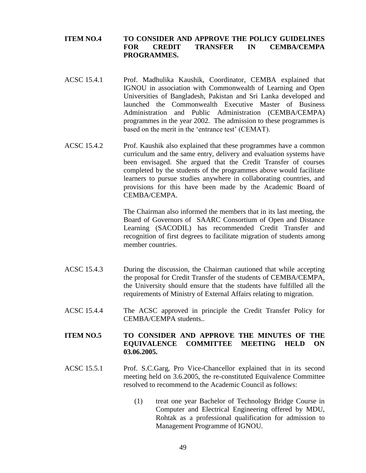## **ITEM NO.4 TO CONSIDER AND APPROVE THE POLICY GUIDELINES FOR CREDIT TRANSFER IN CEMBA/CEMPA PROGRAMMES.**

- ACSC 15.4.1 Prof. Madhulika Kaushik, Coordinator, CEMBA explained that IGNOU in association with Commonwealth of Learning and Open Universities of Bangladesh, Pakistan and Sri Lanka developed and launched the Commonwealth Executive Master of Business Administration and Public Administration (CEMBA/CEMPA) programmes in the year 2002. The admission to these programmes is based on the merit in the 'entrance test' (CEMAT).
- ACSC 15.4.2 Prof. Kaushik also explained that these programmes have a common curriculum and the same entry, delivery and evaluation systems have been envisaged. She argued that the Credit Transfer of courses completed by the students of the programmes above would facilitate learners to pursue studies anywhere in collaborating countries, and provisions for this have been made by the Academic Board of CEMBA/CEMPA.

The Chairman also informed the members that in its last meeting, the Board of Governors of SAARC Consortium of Open and Distance Learning (SACODIL) has recommended Credit Transfer and recognition of first degrees to facilitate migration of students among member countries.

- ACSC 15.4.3 During the discussion, the Chairman cautioned that while accepting the proposal for Credit Transfer of the students of CEMBA/CEMPA, the University should ensure that the students have fulfilled all the requirements of Ministry of External Affairs relating to migration.
- ACSC 15.4.4 The ACSC approved in principle the Credit Transfer Policy for CEMBA/CEMPA students..

# **ITEM NO.5 TO CONSIDER AND APPROVE THE MINUTES OF THE EQUIVALENCE COMMITTEE MEETING HELD ON 03.06.2005.**

- ACSC 15.5.1 Prof. S.C.Garg, Pro Vice-Chancellor explained that in its second meeting held on 3.6.2005, the re-constituted Equivalence Committee resolved to recommend to the Academic Council as follows:
	- (1) treat one year Bachelor of Technology Bridge Course in Computer and Electrical Engineering offered by MDU, Rohtak as a professional qualification for admission to Management Programme of IGNOU.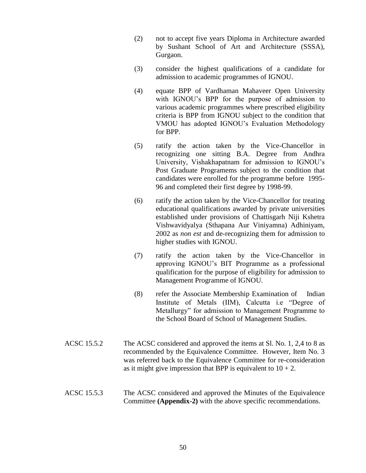- (2) not to accept five years Diploma in Architecture awarded by Sushant School of Art and Architecture (SSSA), Gurgaon.
- (3) consider the highest qualifications of a candidate for admission to academic programmes of IGNOU.
- (4) equate BPP of Vardhaman Mahaveer Open University with IGNOU's BPP for the purpose of admission to various academic programmes where prescribed eligibility criteria is BPP from IGNOU subject to the condition that VMOU has adopted IGNOU's Evaluation Methodology for BPP.
- (5) ratify the action taken by the Vice-Chancellor in recognizing one sitting B.A. Degree from Andhra University, Vishakhapatnam for admission to IGNOU's Post Graduate Programems subject to the condition that candidates were enrolled for the programme before 1995- 96 and completed their first degree by 1998-99.
- (6) ratify the action taken by the Vice-Chancellor for treating educational qualifications awarded by private universities established under provisions of Chattisgarh Niji Kshetra Vishwavidyalya (Sthapana Aur Viniyamna) Adhiniyam, 2002 as *non est* and de-recognizing them for admission to higher studies with IGNOU.
- (7) ratify the action taken by the Vice-Chancellor in approving IGNOU's BIT Programme as a professional qualification for the purpose of eligibility for admission to Management Programme of IGNOU.
- (8) refer the Associate Membership Examination of Indian Institute of Metals (IIM), Calcutta i.e "Degree of Metallurgy" for admission to Management Programme to the School Board of School of Management Studies.
- ACSC 15.5.2 The ACSC considered and approved the items at Sl. No. 1, 2,4 to 8 as recommended by the Equivalence Committee. However, Item No. 3 was referred back to the Equivalence Committee for re-consideration as it might give impression that BPP is equivalent to  $10 + 2$ .
- ACSC 15.5.3 The ACSC considered and approved the Minutes of the Equivalence Committee **(Appendix-2)** with the above specific recommendations.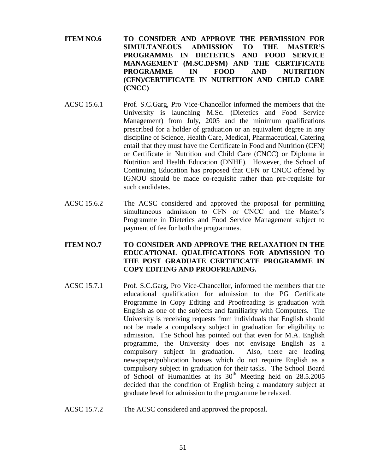- **ITEM NO.6 TO CONSIDER AND APPROVE THE PERMISSION FOR SIMULTANEOUS ADMISSION TO THE MASTER'S PROGRAMME IN DIETETICS AND FOOD SERVICE MANAGEMENT (M.SC.DFSM) AND THE CERTIFICATE PROGRAMME IN FOOD AND NUTRITION (CFN)/CERTIFICATE IN NUTRITION AND CHILD CARE (CNCC)**
- ACSC 15.6.1 Prof. S.C.Garg, Pro Vice-Chancellor informed the members that the University is launching M.Sc. (Dietetics and Food Service Management) from July, 2005 and the minimum qualifications prescribed for a holder of graduation or an equivalent degree in any discipline of Science, Health Care, Medical, Pharmaceutical, Catering entail that they must have the Certificate in Food and Nutrition (CFN) or Certificate in Nutrition and Child Care (CNCC) or Diploma in Nutrition and Health Education (DNHE). However, the School of Continuing Education has proposed that CFN or CNCC offered by IGNOU should be made co-requisite rather than pre-requisite for such candidates.
- ACSC 15.6.2 The ACSC considered and approved the proposal for permitting simultaneous admission to CFN or CNCC and the Master's Programme in Dietetics and Food Service Management subject to payment of fee for both the programmes.

# **ITEM NO.7 TO CONSIDER AND APPROVE THE RELAXATION IN THE EDUCATIONAL QUALIFICATIONS FOR ADMISSION TO THE POST GRADUATE CERTIFICATE PROGRAMME IN COPY EDITING AND PROOFREADING.**

- ACSC 15.7.1 Prof. S.C.Garg, Pro Vice-Chancellor, informed the members that the educational qualification for admission to the PG Certificate Programme in Copy Editing and Proofreading is graduation with English as one of the subjects and familiarity with Computers. The University is receiving requests from individuals that English should not be made a compulsory subject in graduation for eligibility to admission. The School has pointed out that even for M.A. English programme, the University does not envisage English as a compulsory subject in graduation. Also, there are leading newspaper/publication houses which do not require English as a compulsory subject in graduation for their tasks. The School Board of School of Humanities at its  $30<sup>th</sup>$  Meeting held on 28.5.2005 decided that the condition of English being a mandatory subject at graduate level for admission to the programme be relaxed.
- ACSC 15.7.2 The ACSC considered and approved the proposal.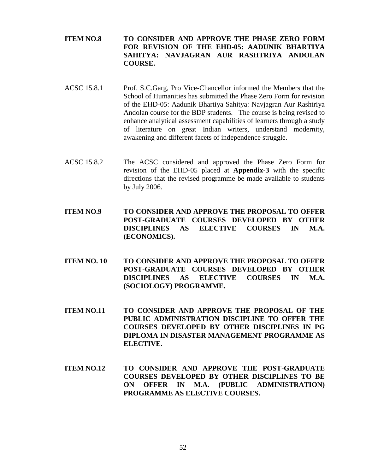- **ITEM NO.8 TO CONSIDER AND APPROVE THE PHASE ZERO FORM FOR REVISION OF THE EHD-05: AADUNIK BHARTIYA SAHITYA: NAVJAGRAN AUR RASHTRIYA ANDOLAN COURSE.**
- ACSC 15.8.1 Prof. S.C.Garg, Pro Vice-Chancellor informed the Members that the School of Humanities has submitted the Phase Zero Form for revision of the EHD-05: Aadunik Bhartiya Sahitya: Navjagran Aur Rashtriya Andolan course for the BDP students. The course is being revised to enhance analytical assessment capabilities of learners through a study of literature on great Indian writers, understand modernity, awakening and different facets of independence struggle.
- ACSC 15.8.2 The ACSC considered and approved the Phase Zero Form for revision of the EHD-05 placed at **Appendix-3** with the specific directions that the revised programme be made available to students by July 2006.
- **ITEM NO.9 TO CONSIDER AND APPROVE THE PROPOSAL TO OFFER POST-GRADUATE COURSES DEVELOPED BY OTHER DISCIPLINES AS ELECTIVE COURSES IN M.A. (ECONOMICS).**
- **ITEM NO. 10 TO CONSIDER AND APPROVE THE PROPOSAL TO OFFER POST-GRADUATE COURSES DEVELOPED BY OTHER DISCIPLINES AS ELECTIVE COURSES IN M.A. (SOCIOLOGY) PROGRAMME.**
- **ITEM NO.11 TO CONSIDER AND APPROVE THE PROPOSAL OF THE PUBLIC ADMINISTRATION DISCIPLINE TO OFFER THE COURSES DEVELOPED BY OTHER DISCIPLINES IN PG DIPLOMA IN DISASTER MANAGEMENT PROGRAMME AS ELECTIVE.**
- **ITEM NO.12 TO CONSIDER AND APPROVE THE POST-GRADUATE COURSES DEVELOPED BY OTHER DISCIPLINES TO BE ON OFFER IN M.A. (PUBLIC ADMINISTRATION) PROGRAMME AS ELECTIVE COURSES.**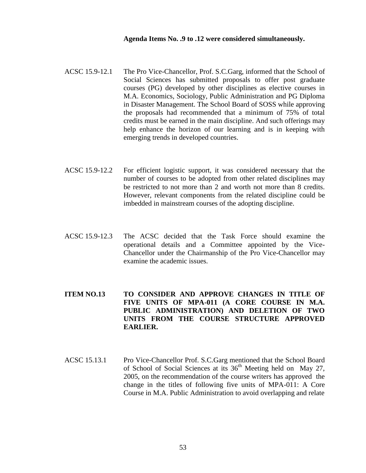#### **Agenda Items No. .9 to .12 were considered simultaneously.**

- ACSC 15.9-12.1 The Pro Vice-Chancellor, Prof. S.C.Garg, informed that the School of Social Sciences has submitted proposals to offer post graduate courses (PG) developed by other disciplines as elective courses in M.A. Economics, Sociology, Public Administration and PG Diploma in Disaster Management. The School Board of SOSS while approving the proposals had recommended that a minimum of 75% of total credits must be earned in the main discipline. And such offerings may help enhance the horizon of our learning and is in keeping with emerging trends in developed countries.
- ACSC 15.9-12.2 For efficient logistic support, it was considered necessary that the number of courses to be adopted from other related disciplines may be restricted to not more than 2 and worth not more than 8 credits. However, relevant components from the related discipline could be imbedded in mainstream courses of the adopting discipline.
- ACSC 15.9-12.3 The ACSC decided that the Task Force should examine the operational details and a Committee appointed by the Vice-Chancellor under the Chairmanship of the Pro Vice-Chancellor may examine the academic issues.

# **ITEM NO.13 TO CONSIDER AND APPROVE CHANGES IN TITLE OF FIVE UNITS OF MPA-011 (A CORE COURSE IN M.A. PUBLIC ADMINISTRATION) AND DELETION OF TWO UNITS FROM THE COURSE STRUCTURE APPROVED EARLIER.**

ACSC 15.13.1 Pro Vice-Chancellor Prof. S.C.Garg mentioned that the School Board of School of Social Sciences at its  $36<sup>th</sup>$  Meeting held on May 27, 2005, on the recommendation of the course writers has approved the change in the titles of following five units of MPA-011: A Core Course in M.A. Public Administration to avoid overlapping and relate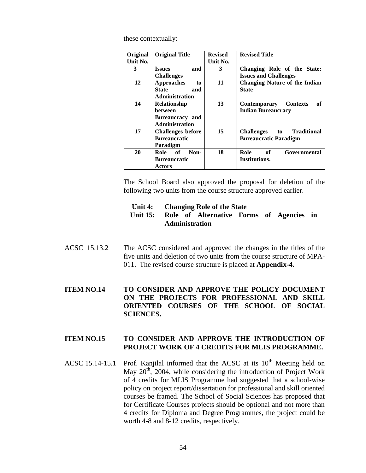these contextually:

| Original<br>Unit No. | <b>Original Title</b>                                                      | <b>Revised</b><br>Unit No. | <b>Revised Title</b>                                                          |
|----------------------|----------------------------------------------------------------------------|----------------------------|-------------------------------------------------------------------------------|
| 3                    | and<br><b>Issues</b><br><b>Challenges</b>                                  | 3                          | Changing Role of the State:<br><b>Issues and Challenges</b>                   |
| 12                   | <b>Approaches</b><br>to<br><b>State</b><br>and<br><b>Administration</b>    | 11                         | <b>Changing Nature of the Indian</b><br><b>State</b>                          |
| 14                   | <b>Relationship</b><br>hetween<br>Bureaucracy and<br><b>Administration</b> | 13                         | оf<br><b>Contemporary</b><br><b>Contexts</b><br><b>Indian Bureaucracy</b>     |
| 17                   | <b>Challenges before</b><br><b>Bureaucratic</b><br>Paradigm                | 15                         | <b>Traditional</b><br><b>Challenges</b><br>to<br><b>Bureaucratic Paradigm</b> |
| 20                   | Role of<br>Non-<br><b>Bureaucratic</b><br>Actors                           | 18                         | Role<br>of<br>Governmental<br>Institutions.                                   |

The School Board also approved the proposal for deletion of the following two units from the course structure approved earlier.

| Unit 4:<br><b>Changing Role of the State</b> |  |
|----------------------------------------------|--|
|----------------------------------------------|--|

# **Unit 15: Role of Alternative Forms of Agencies in Administration**

ACSC 15.13.2 The ACSC considered and approved the changes in the titles of the five units and deletion of two units from the course structure of MPA-011. The revised course structure is placed at **Appendix-4.**

# **ITEM NO.14 TO CONSIDER AND APPROVE THE POLICY DOCUMENT ON THE PROJECTS FOR PROFESSIONAL AND SKILL ORIENTED COURSES OF THE SCHOOL OF SOCIAL SCIENCES.**

#### **ITEM NO.15 TO CONSIDER AND APPROVE THE INTRODUCTION OF PROJECT WORK OF 4 CREDITS FOR MLIS PROGRAMME.**

ACSC 15.14-15.1 Prof. Kanjilal informed that the ACSC at its  $10<sup>th</sup>$  Meeting held on May  $20<sup>th</sup>$ , 2004, while considering the introduction of Project Work of 4 credits for MLIS Programme had suggested that a school-wise policy on project report/dissertation for professional and skill oriented courses be framed. The School of Social Sciences has proposed that for Certificate Courses projects should be optional and not more than 4 credits for Diploma and Degree Programmes, the project could be worth 4-8 and 8-12 credits, respectively.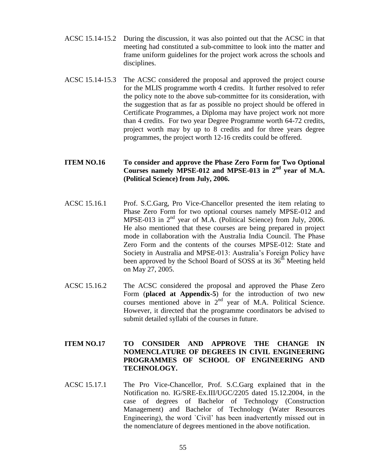- ACSC 15.14-15.2 During the discussion, it was also pointed out that the ACSC in that meeting had constituted a sub-committee to look into the matter and frame uniform guidelines for the project work across the schools and disciplines.
- ACSC 15.14-15.3 The ACSC considered the proposal and approved the project course for the MLIS programme worth 4 credits. It further resolved to refer the policy note to the above sub-committee for its consideration, with the suggestion that as far as possible no project should be offered in Certificate Programmes, a Diploma may have project work not more than 4 credits. For two year Degree Programme worth 64-72 credits, project worth may by up to 8 credits and for three years degree programmes, the project worth 12-16 credits could be offered.

# **ITEM NO.16 To consider and approve the Phase Zero Form for Two Optional Courses namely MPSE-012 and MPSE-013 in 2nd year of M.A. (Political Science) from July, 2006.**

- ACSC 15.16.1 Prof. S.C.Garg, Pro Vice-Chancellor presented the item relating to Phase Zero Form for two optional courses namely MPSE-012 and MPSE-013 in  $2<sup>nd</sup>$  year of M.A. (Political Science) from July, 2006. He also mentioned that these courses are being prepared in project mode in collaboration with the Australia India Council. The Phase Zero Form and the contents of the courses MPSE-012: State and Society in Australia and MPSE-013: Australia's Foreign Policy have been approved by the School Board of SOSS at its  $36<sup>th</sup>$  Meeting held on May 27, 2005.
- ACSC 15.16.2 The ACSC considered the proposal and approved the Phase Zero Form (**placed at Appendix-5**) for the introduction of two new courses mentioned above in  $2<sup>nd</sup>$  year of M.A. Political Science. However, it directed that the programme coordinators be advised to submit detailed syllabi of the courses in future.

# **ITEM NO.17 TO CONSIDER AND APPROVE THE CHANGE IN NOMENCLATURE OF DEGREES IN CIVIL ENGINEERING PROGRAMMES OF SCHOOL OF ENGINEERING AND TECHNOLOGY.**

ACSC 15.17.1 The Pro Vice-Chancellor, Prof. S.C.Garg explained that in the Notification no. IG/SRE-Ex.III/UGC/2205 dated 15.12.2004, in the case of degrees of Bachelor of Technology (Construction Management) and Bachelor of Technology (Water Resources Engineering), the word `Civil' has been inadvertently missed out in the nomenclature of degrees mentioned in the above notification.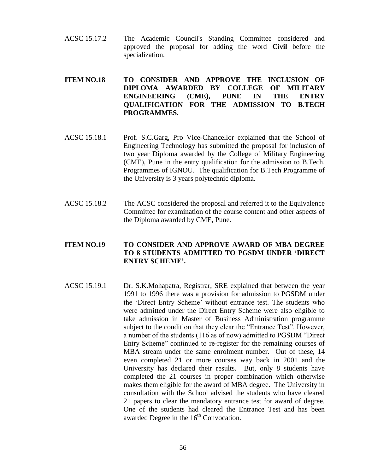ACSC 15.17.2 The Academic Council's Standing Committee considered and approved the proposal for adding the word **Civil** before the specialization.

# **ITEM NO.18 TO CONSIDER AND APPROVE THE INCLUSION OF DIPLOMA AWARDED BY COLLEGE OF MILITARY ENGINEERING (CME), PUNE IN THE ENTRY QUALIFICATION FOR THE ADMISSION TO B.TECH PROGRAMMES.**

- ACSC 15.18.1 Prof. S.C.Garg, Pro Vice-Chancellor explained that the School of Engineering Technology has submitted the proposal for inclusion of two year Diploma awarded by the College of Military Engineering (CME), Pune in the entry qualification for the admission to B.Tech. Programmes of IGNOU. The qualification for B.Tech Programme of the University is 3 years polytechnic diploma.
- ACSC 15.18.2 The ACSC considered the proposal and referred it to the Equivalence Committee for examination of the course content and other aspects of the Diploma awarded by CME, Pune.

# **ITEM NO.19 TO CONSIDER AND APPROVE AWARD OF MBA DEGREE TO 8 STUDENTS ADMITTED TO PGSDM UNDER 'DIRECT ENTRY SCHEME'.**

ACSC 15.19.1 Dr. S.K.Mohapatra, Registrar, SRE explained that between the year 1991 to 1996 there was a provision for admission to PGSDM under the 'Direct Entry Scheme' without entrance test. The students who were admitted under the Direct Entry Scheme were also eligible to take admission in Master of Business Administration programme subject to the condition that they clear the "Entrance Test". However, a number of the students (116 as of now) admitted to PGSDM "Direct Entry Scheme" continued to re-register for the remaining courses of MBA stream under the same enrolment number. Out of these, 14 even completed 21 or more courses way back in 2001 and the University has declared their results. But, only 8 students have completed the 21 courses in proper combination which otherwise makes them eligible for the award of MBA degree. The University in consultation with the School advised the students who have cleared 21 papers to clear the mandatory entrance test for award of degree. One of the students had cleared the Entrance Test and has been awarded Degree in the  $16<sup>th</sup>$  Convocation.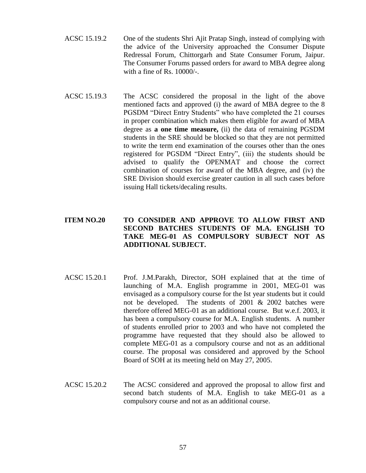- ACSC 15.19.2 One of the students Shri Ajit Pratap Singh, instead of complying with the advice of the University approached the Consumer Dispute Redressal Forum, Chittorgarh and State Consumer Forum, Jaipur. The Consumer Forums passed orders for award to MBA degree along with a fine of Rs. 10000/-.
- ACSC 15.19.3 The ACSC considered the proposal in the light of the above mentioned facts and approved (i) the award of MBA degree to the 8 PGSDM "Direct Entry Students" who have completed the 21 courses in proper combination which makes them eligible for award of MBA degree as **a one time measure,** (ii) the data of remaining PGSDM students in the SRE should be blocked so that they are not permitted to write the term end examination of the courses other than the ones registered for PGSDM "Direct Entry", (iii) the students should be advised to qualify the OPENMAT and choose the correct combination of courses for award of the MBA degree, and (iv) the SRE Division should exercise greater caution in all such cases before issuing Hall tickets/decaling results.

# **ITEM NO.20 TO CONSIDER AND APPROVE TO ALLOW FIRST AND SECOND BATCHES STUDENTS OF M.A. ENGLISH TO TAKE MEG-01 AS COMPULSORY SUBJECT NOT AS ADDITIONAL SUBJECT.**

- ACSC 15.20.1 Prof. J.M.Parakh, Director, SOH explained that at the time of launching of M.A. English programme in 2001, MEG-01 was envisaged as a compulsory course for the Ist year students but it could not be developed. The students of 2001 & 2002 batches were therefore offered MEG-01 as an additional course. But w.e.f. 2003, it has been a compulsory course for M.A. English students. A number of students enrolled prior to 2003 and who have not completed the programme have requested that they should also be allowed to complete MEG-01 as a compulsory course and not as an additional course. The proposal was considered and approved by the School Board of SOH at its meeting held on May 27, 2005.
- ACSC 15.20.2 The ACSC considered and approved the proposal to allow first and second batch students of M.A. English to take MEG-01 as a compulsory course and not as an additional course.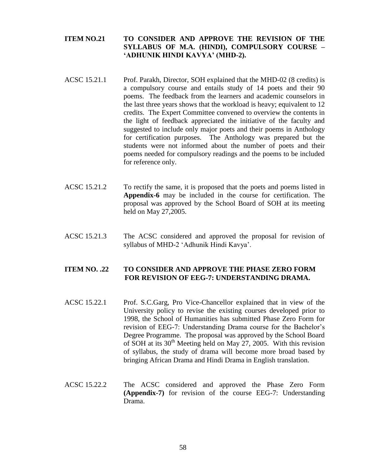# **ITEM NO.21 TO CONSIDER AND APPROVE THE REVISION OF THE SYLLABUS OF M.A. (HINDI), COMPULSORY COURSE – 'ADHUNIK HINDI KAVYA' (MHD-2).**

- ACSC 15.21.1 Prof. Parakh, Director, SOH explained that the MHD-02 (8 credits) is a compulsory course and entails study of 14 poets and their 90 poems. The feedback from the learners and academic counselors in the last three years shows that the workload is heavy; equivalent to 12 credits. The Expert Committee convened to overview the contents in the light of feedback appreciated the initiative of the faculty and suggested to include only major poets and their poems in Anthology for certification purposes. The Anthology was prepared but the students were not informed about the number of poets and their poems needed for compulsory readings and the poems to be included for reference only.
- ACSC 15.21.2 To rectify the same, it is proposed that the poets and poems listed in **Appendix-6** may be included in the course for certification. The proposal was approved by the School Board of SOH at its meeting held on May 27,2005.
- ACSC 15.21.3 The ACSC considered and approved the proposal for revision of syllabus of MHD-2 'Adhunik Hindi Kavya'.

# **ITEM NO. .22 TO CONSIDER AND APPROVE THE PHASE ZERO FORM FOR REVISION OF EEG-7: UNDERSTANDING DRAMA.**

- ACSC 15.22.1 Prof. S.C.Garg, Pro Vice-Chancellor explained that in view of the University policy to revise the existing courses developed prior to 1998, the School of Humanities has submitted Phase Zero Form for revision of EEG-7: Understanding Drama course for the Bachelor's Degree Programme. The proposal was approved by the School Board of SOH at its  $30<sup>th</sup>$  Meeting held on May 27, 2005. With this revision of syllabus, the study of drama will become more broad based by bringing African Drama and Hindi Drama in English translation.
- ACSC 15.22.2 The ACSC considered and approved the Phase Zero Form **(Appendix-7)** for revision of the course EEG-7: Understanding Drama.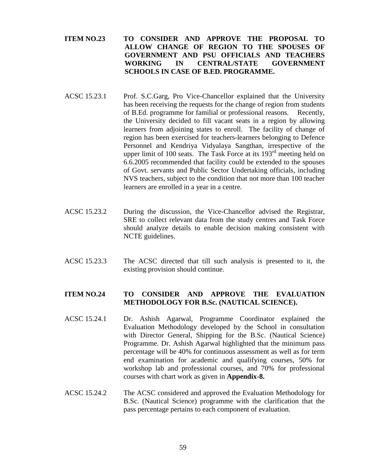- **ITEM NO.23 TO CONSIDER AND APPROVE THE PROPOSAL TO ALLOW CHANGE OF REGION TO THE SPOUSES OF GOVERNMENT AND PSU OFFICIALS AND TEACHERS WORKING IN CENTRAL/STATE GOVERNMENT SCHOOLS IN CASE OF B.ED. PROGRAMME.**
- ACSC 15.23.1 Prof. S.C.Garg, Pro Vice-Chancellor explained that the University has been receiving the requests for the change of region from students of B.Ed. programme for familial or professional reasons. Recently, the University decided to fill vacant seats in a region by allowing learners from adjoining states to enroll. The facility of change of region has been exercised for teachers-learners belonging to Defence Personnel and Kendriya Vidyalaya Sangthan, irrespective of the upper limit of 100 seats. The Task Force at its  $193<sup>rd</sup>$  meeting held on 6.6.2005 recommended that facility could be extended to the spouses of Govt. servants and Public Sector Undertaking officials, including NVS teachers, subject to the condition that not more than 100 teacher learners are enrolled in a year in a centre.
- ACSC 15.23.2 During the discussion, the Vice-Chancellor advised the Registrar, SRE to collect relevant data from the study centres and Task Force should analyze details to enable decision making consistent with NCTE guidelines.
- ACSC 15.23.3 The ACSC directed that till such analysis is presented to it, the existing provision should continue.

## **ITEM NO.24 TO CONSIDER AND APPROVE THE EVALUATION METHODOLOGY FOR B.Sc. (NAUTICAL SCIENCE).**

- ACSC 15.24.1 Dr. Ashish Agarwal, Programme Coordinator explained the Evaluation Methodology developed by the School in consultation with Director General, Shipping for the B.Sc. (Nautical Science) Programme. Dr. Ashish Agarwal highlighted that the minimum pass percentage will be 40% for continuous assessment as well as for term end examination for academic and qualifying courses, 50% for workshop lab and professional courses, and 70% for professional courses with chart work as given in **Appendix-8.**
- ACSC 15.24.2 The ACSC considered and approved the Evaluation Methodology for B.Sc. (Nautical Science) programme with the clarification that the pass percentage pertains to each component of evaluation.